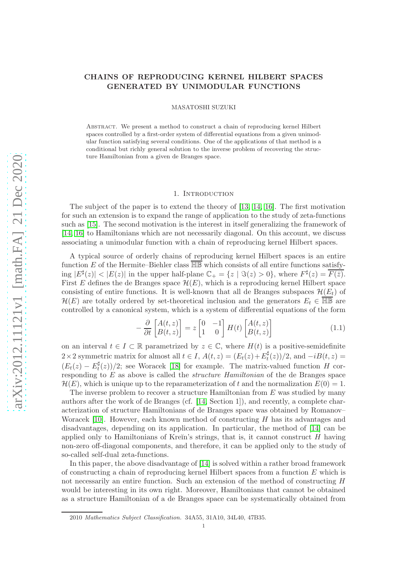# CHAINS OF REPRODUCING KERNEL HILBERT SPACES GENERATED BY UNIMODULAR FUNCTIONS

MASATOSHI SUZUKI

Abstract. We present a method to construct a chain of reproducing kernel Hilbert spaces controlled by a first-order system of differential equations from a given unimodular function satisfying several conditions. One of the applications of that method is a conditional but richly general solution to the inverse problem of recovering the structure Hamiltonian from a given de Branges space.

#### 1. INTRODUCTION

The subject of the paper is to extend the theory of [\[13,](#page-25-0) [14,](#page-25-1) [16\]](#page-25-2). The first motivation for such an extension is to expand the range of application to the study of zeta-functions such as [\[15\]](#page-25-3). The second motivation is the interest in itself generalizing the framework of [\[14,](#page-25-1) [16\]](#page-25-2) to Hamiltonians which are not necessarily diagonal. On this account, we discuss associating a unimodular function with a chain of reproducing kernel Hilbert spaces.

A typical source of orderly chains of reproducing kernel Hilbert spaces is an entire function E of the Hermite–Biehler class  $\overline{\mathbb{HB}}$  which consists of all entire functions satisfying  $|E^{\sharp}(z)| < |E(z)|$  in the upper half-plane  $\mathbb{C}_{+} = \{z \mid \Im(z) > 0\}$ , where  $F^{\sharp}(z) = \overline{F(\bar{z})}$ . First E defines the de Branges space  $\mathcal{H}(E)$ , which is a reproducing kernel Hilbert space consisting of entire functions. It is well-known that all de Branges subspaces  $\mathcal{H}(E_t)$  of  $\mathcal{H}(E)$  are totally ordered by set-theoretical inclusion and the generators  $E_t \in \overline{\mathbb{HB}}$  are controlled by a canonical system, which is a system of differential equations of the form

<span id="page-0-0"></span>
$$
-\frac{\partial}{\partial t}\begin{bmatrix} A(t,z) \\ B(t,z) \end{bmatrix} = z \begin{bmatrix} 0 & -1 \\ 1 & 0 \end{bmatrix} H(t) \begin{bmatrix} A(t,z) \\ B(t,z) \end{bmatrix}
$$
(1.1)

on an interval  $t \in I \subset \mathbb{R}$  parametrized by  $z \in \mathbb{C}$ , where  $H(t)$  is a positive-semidefinite 2 × 2 symmetric matrix for almost all  $t \in I$ ,  $A(t, z) = (E_t(z) + E_t^{\sharp})$  $t<sub>t</sub>(z)$ )/2, and  $-iB(t, z) =$  $(E_t(z) - E_t^{\sharp})$  $\binom{n}{t}(z)/2$ ; see Woracek [\[18\]](#page-25-4) for example. The matrix-valued function H corresponding to  $E$  as above is called the *structure Hamiltonian* of the de Branges space  $\mathcal{H}(E)$ , which is unique up to the reparameterization of t and the normalization  $E(0) = 1$ .

The inverse problem to recover a structure Hamiltonian from  $E$  was studied by many authors after the work of de Branges (cf. [\[14,](#page-25-1) Section 1]), and recently, a complete characterization of structure Hamiltonians of de Branges space was obtained by Romanov– Woracek [\[10\]](#page-25-5). However, each known method of constructing  $H$  has its advantages and disadvantages, depending on its application. In particular, the method of [\[14\]](#page-25-1) can be applied only to Hamiltonians of Kreĭn's strings, that is, it cannot construct  $H$  having non-zero off-diagonal components, and therefore, it can be applied only to the study of so-called self-dual zeta-functions.

In this paper, the above disadvantage of [\[14\]](#page-25-1) is solved within a rather broad framework of constructing a chain of reproducing kernel Hilbert spaces from a function  $E$  which is not necessarily an entire function. Such an extension of the method of constructing H would be interesting in its own right. Moreover, Hamiltonians that cannot be obtained as a structure Hamiltonian of a de Branges space can be systematically obtained from

<sup>2010</sup> Mathematics Subject Classification. 34A55, 31A10, 34L40, 47B35.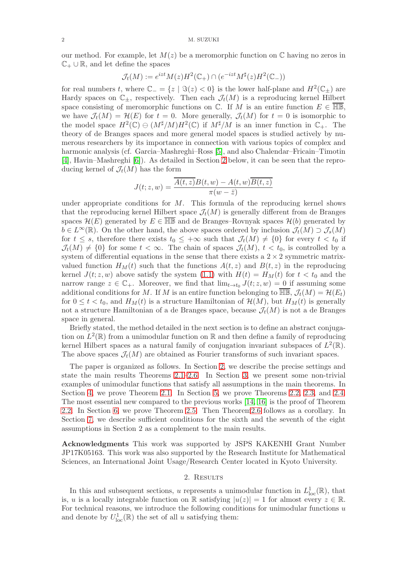our method. For example, let  $M(z)$  be a meromorphic function on  $\mathbb C$  having no zeros in  $\mathbb{C}_+ \cup \mathbb{R}$ , and let define the spaces

$$
\mathcal{J}_t(M) := e^{izt} M(z) H^2(\mathbb{C}_+) \cap (e^{-izt} M^\sharp(z) H^2(\mathbb{C}_-))
$$

for real numbers t, where  $\mathbb{C}_{-} = \{z \mid \Im(z) < 0\}$  is the lower half-plane and  $H^2(\mathbb{C}_{\pm})$  are Hardy spaces on  $\mathbb{C}_{\pm}$ , respectively. Then each  $\mathcal{J}_t(M)$  is a reproducing kernel Hilbert space consisting of meromorphic functions on  $\mathbb{C}$ . If M is an entire function  $E \in \overline{\mathbb{HB}}$ , we have  $\mathcal{J}_t(M) = \mathcal{H}(E)$  for  $t = 0$ . More generally,  $\mathcal{J}_t(M)$  for  $t = 0$  is isomorphic to the model space  $H^2(\mathbb{C}) \ominus (M^{\sharp}/M)H^2(\mathbb{C})$  if  $M^{\sharp}/M$  is an inner function in  $\mathbb{C}_+$ . The theory of de Branges spaces and more general model spaces is studied actively by numerous researchers by its importance in connection with various topics of complex and harmonic analysis (cf. Garcia–Mashreghi–Ross [\[5\]](#page-25-6), and also Chalendar–Fricain–Timotin [\[4\]](#page-25-7), Havin–Mashreghi [\[6\]](#page-25-8)). As detailed in Section [2](#page-1-0) below, it can be seen that the reproducing kernel of  $\mathcal{J}_t(M)$  has the form

$$
J(t; z, w) = \frac{\overline{A(t, z)}B(t, w) - A(t, w)\overline{B(t, z)}}{\pi(w - \overline{z})}
$$

under appropriate conditions for  $M$ . This formula of the reproducing kernel shows that the reproducing kernel Hilbert space  $\mathcal{J}_t(M)$  is generally different from de Branges spaces  $\mathcal{H}(E)$  generated by  $E \in \overline{\mathbb{HB}}$  and de Branges–Rovnyak spaces  $\mathcal{H}(b)$  generated by  $b \in L^{\infty}(\mathbb{R})$ . On the other hand, the above spaces ordered by inclusion  $\mathcal{J}_t(M) \supset \mathcal{J}_s(M)$ for  $t \leq s$ , therefore there exists  $t_0 \leq +\infty$  such that  $\mathcal{J}_t(M) \neq \{0\}$  for every  $t \leq t_0$  if  $\mathcal{J}_t(M) \neq \{0\}$  for some  $t < \infty$ . The chain of spaces  $\mathcal{J}_t(M)$ ,  $t < t_0$ , is controlled by a system of differential equations in the sense that there exists a  $2 \times 2$  symmetric matrixvalued function  $H_M(t)$  such that the functions  $A(t, z)$  and  $B(t, z)$  in the reproducing kernel  $J(t; z, w)$  above satisfy the system [\(1.1\)](#page-0-0) with  $H(t) = H<sub>M</sub>(t)$  for  $t < t<sub>0</sub>$  and the narrow range  $z \in \mathbb{C}_+$ . Moreover, we find that  $\lim_{t \to t_0} J(t; z, w) = 0$  if assuming some additional conditions for M. If M is an entire function belonging to  $\overline{\mathbb{HB}}$ ,  $\mathcal{J}_t(M) = \mathcal{H}(E_t)$ for  $0 \leq t < t_0$ , and  $H_M(t)$  is a structure Hamiltonian of  $\mathcal{H}(M)$ , but  $H_M(t)$  is generally not a structure Hamiltonian of a de Branges space, because  $\mathcal{J}_t(M)$  is not a de Branges space in general.

Briefly stated, the method detailed in the next section is to define an abstract conjugation on  $L^2(\mathbb{R})$  from a unimodular function on  $\mathbb{R}$  and then define a family of reproducing kernel Hilbert spaces as a natural family of conjugation invariant subspaces of  $L^2(\mathbb{R})$ . The above spaces  $\mathcal{J}_t(M)$  are obtained as Fourier transforms of such invariant spaces.

The paper is organized as follows. In Section [2,](#page-1-0) we describe the precise settings and state the main results Theorems [2.1–](#page-3-0)[2.6.](#page-6-0) In Section [3,](#page-7-0) we present some non-trivial examples of unimodular functions that satisfy all assumptions in the main theorems. In Section [4,](#page-9-0) we prove Theorem [2.1.](#page-3-0) In Section [5,](#page-13-0) we prove Theorems [2.2,](#page-5-0) [2.3,](#page-5-1) and [2.4.](#page-6-1) The most essential new compared to the previous works [\[14,](#page-25-1) [16\]](#page-25-2) is the proof of Theorem [2.2.](#page-5-0) In Section [6,](#page-22-0) we prove Theorem [2.5.](#page-6-2) Then Theore[m2.6](#page-6-0) follows as a corollary. In Section [7,](#page-23-0) we describe sufficient conditions for the sixth and the seventh of the eight assumptions in Section 2 as a complement to the main results.

Acknowledgments This work was supported by JSPS KAKENHI Grant Number JP17K05163. This work was also supported by the Research Institute for Mathematical Sciences, an International Joint Usage/Research Center located in Kyoto University.

#### 2. Results

<span id="page-1-0"></span>In this and subsequent sections, u represents a unimodular function in  $L^1_{loc}(\mathbb{R})$ , that is, u is a locally integrable function on R satisfying  $|u(z)| = 1$  for almost every  $z \in \mathbb{R}$ . For technical reasons, we introduce the following conditions for unimodular functions  $u$ and denote by  $U^1_{loc}(\mathbb{R})$  the set of all u satisfying them: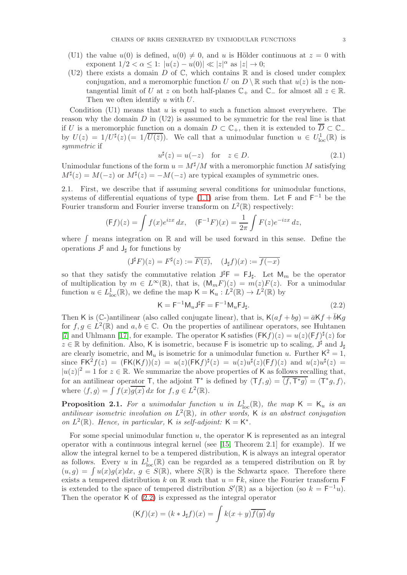- (U1) the value  $u(0)$  is defined,  $u(0) \neq 0$ , and u is Hölder continuous at  $z = 0$  with exponent  $1/2 < \alpha \leq 1$ :  $|u(z) - u(0)| \ll |z|^{\alpha}$  as  $|z| \to 0$ ;
- (U2) there exists a domain  $D$  of  $\mathbb C$ , which contains  $\mathbb R$  and is closed under complex conjugation, and a meromorphic function U on  $D \setminus \mathbb{R}$  such that  $u(z)$  is the nontangential limit of U at z on both half-planes  $\mathbb{C}_+$  and  $\mathbb{C}_-$  for almost all  $z \in \mathbb{R}$ . Then we often identify u with U.

Condition (U1) means that  $u$  is equal to such a function almost everywhere. The reason why the domain  $D$  in  $(U2)$  is assumed to be symmetric for the real line is that if U is a meromorphic function on a domain  $D \subset \mathbb{C}_+$ , then it is extended to  $\overline{D} \subset \mathbb{C}_$ by  $U(z) = 1/U^{\sharp}(z) (= 1/\overline{U(\bar{z})})$ . We call that a unimodular function  $u \in U^1_{loc}(\mathbb{R})$  is symmetric if

<span id="page-2-1"></span>
$$
u^{\sharp}(z) = u(-z) \quad \text{for} \quad z \in D. \tag{2.1}
$$

Unimodular functions of the form  $u = M^{\sharp}/M$  with a meromorphic function M satisfying  $M^{\sharp}(z) = M(-z)$  or  $M^{\sharp}(z) = -M(-z)$  are typical examples of symmetric ones.

<span id="page-2-2"></span>2.1. First, we describe that if assuming several conditions for unimodular functions, systems of differential equations of type  $(1.1)$  arise from them. Let F and F<sup>-1</sup> be the Fourier transform and Fourier inverse transform on  $L^2(\mathbb{R})$  respectively:

$$
(\mathsf{F}f)(z) = \int f(x)e^{izx} dx, \quad (\mathsf{F}^{-1}F)(x) = \frac{1}{2\pi} \int F(z)e^{-izx} dz,
$$

where  $\int$  means integration on  $\mathbb R$  and will be used forward in this sense. Define the operations  $J^{\sharp}$  and  $J_{\sharp}$  for functions by

$$
(\mathsf{J}^{\sharp} F)(z) = F^{\sharp}(z) := \overline{F(\bar{z})}, \quad (\mathsf{J}_{\sharp} f)(x) := \overline{f(-x)}
$$

so that they satisfy the commutative relation  $J^{\sharp}F = FJ_{\sharp}$ . Let  $M_m$  be the operator of multiplication by  $m \in L^{\infty}(\mathbb{R})$ , that is,  $(M_mF)(z) = m(z)F(z)$ . For a unimodular function  $u \in L^1_{loc}(\mathbb{R})$ , we define the map  $\mathsf{K} = \mathsf{K}_u : L^2(\mathbb{R}) \to L^2(\mathbb{R})$  by

<span id="page-2-0"></span>
$$
\mathsf{K} = \mathsf{F}^{-1} \mathsf{M}_u \mathsf{J}^\sharp \mathsf{F} = \mathsf{F}^{-1} \mathsf{M}_u \mathsf{F} \mathsf{J}_\sharp. \tag{2.2}
$$

Then K is (C-)antilinear (also called conjugate linear), that is,  $K(af + bg) = \bar{a}Kf + \bar{b}Kg$ for  $f, g \in L^2(\mathbb{R})$  and  $a, b \in \mathbb{C}$ . On the properties of antilinear operators, see Huhtanen [\[7\]](#page-25-9) and Uhlmann [\[17\]](#page-25-10), for example. The operator K satisfies  $(FKf)(z) = u(z)(Ff)^{\sharp}(z)$  for  $z \in \mathbb{R}$  by definition. Also, K is isometric, because F is isometric up to scaling,  $J^{\sharp}$  and  $J_{\sharp}$ are clearly isometric, and  $M_u$  is isometric for a unimodular function u. Further  $K^2 = 1$ , since  $FK^2f(z) = (FK(Kf))(z) = u(z)(FKf)^{\sharp}(z) = u(z)u^{\sharp}(z)(Ff)(z)$  and  $u(z)u^{\sharp}(z) =$  $|u(z)|^2 = 1$  for  $z \in \mathbb{R}$ . We summarize the above properties of K as follows recalling that, for an antilinear operator  $\mathsf{T}$ , the adjoint  $\mathsf{T}^*$  is defined by  $\langle \mathsf{T}f, g \rangle = \langle f, \mathsf{T}^*g \rangle = \langle \mathsf{T}^*g, f \rangle$ , where  $\langle f, g \rangle = \int f(x) \overline{g(x)} dx$  for  $f, g \in L^2(\mathbb{R})$ .

**Proposition 2.1.** For a unimodular function u in  $L^1_{loc}(\mathbb{R})$ , the map  $\mathsf{K} = \mathsf{K}_u$  is an antilinear isometric involution on  $L^2(\mathbb{R})$ , in other words, K is an abstract conjugation on  $L^2(\mathbb{R})$ . Hence, in particular, K is self-adjoint:  $\mathsf{K} = \mathsf{K}^*$ .

For some special unimodular function  $u$ , the operator  $\kappa$  is represented as an integral operator with a continuous integral kernel (see [\[15,](#page-25-3) Theorem 2.1] for example). If we allow the integral kernel to be a tempered distribution, K is always an integral operator as follows. Every u in  $L^1_{loc}(\mathbb{R})$  can be regarded as a tempered distribution on  $\mathbb R$  by  $(u, g) = \int u(x)g(x)dx, g \in S(\mathbb{R})$ , where  $S(\mathbb{R})$  is the Schwartz space. Therefore there exists a tempered distribution k on R such that  $u = Fk$ , since the Fourier transform F is extended to the space of tempered distribution  $S'(\mathbb{R})$  as a bijection (so  $k = \mathsf{F}^{-1}u$ ). Then the operator K of [\(2.2\)](#page-2-0) is expressed as the integral operator

$$
(\mathsf{K}f)(x) = (k \ast \mathsf{J}_{\sharp}f)(x) = \int k(x+y)\overline{f(y)}\,dy
$$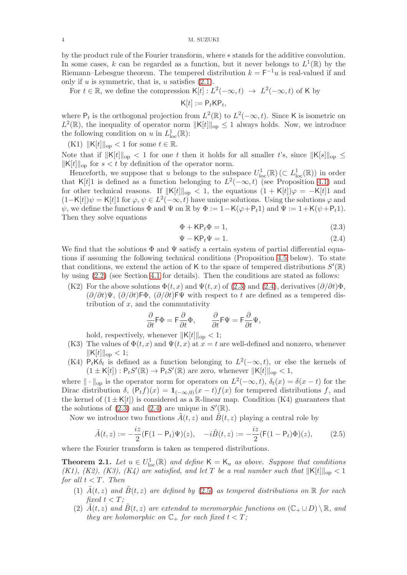by the product rule of the Fourier transform, where ∗ stands for the additive convolution. In some cases, k can be regarded as a function, but it never belongs to  $L^1(\mathbb{R})$  by the Riemann–Lebesgue theorem. The tempered distribution  $k = \mathsf{F}^{-1}u$  is real-valued if and only if  $u$  is symmetric, that is,  $u$  satisfies  $(2.1)$ .

For  $t \in \mathbb{R}$ , we define the compression  $\mathsf{K}[t]: L^2(-\infty, t) \to L^2(-\infty, t)$  of K by

$$
\mathsf{K}[t] := \mathsf{P}_t \mathsf{K} \mathsf{P}_t,
$$

where  $P_t$  is the orthogonal projection from  $L^2(\mathbb{R})$  to  $L^2(-\infty, t)$ . Since K is isometric on  $L^2(\mathbb{R})$ , the inequality of operator norm  $||\mathsf{K}[t]||_{op} \leq 1$  always holds. Now, we introduce the following condition on u in  $L^1_{loc}(\mathbb{R})$ :

(K1)  $\|K[t]\|_{\text{op}} < 1$  for some  $t \in \mathbb{R}$ .

Note that if  $||K[t]||_{op} < 1$  for one t then it holds for all smaller t's, since  $||K[s]||_{op} \le$  $\|K[t]\|_{\text{op}}$  for  $s < t$  by definition of the operator norm.

Henceforth, we suppose that u belongs to the subspace  $U^1_{loc}(\mathbb{R}) \subset L^1_{loc}(\mathbb{R})$  in order that K[t]1 is defined as a function belonging to  $L^2(-\infty, t)$  (see Proposition [4.1\)](#page-9-1) and for other technical reasons. If  $||K[t]||_{op} < 1$ , the equations  $(1 + K[t])\varphi = -K[t]$  and  $(1 - \mathsf{K}[t])\psi = \mathsf{K}[t]1$  for  $\varphi, \psi \in L^2(-\infty, t)$  have unique solutions. Using the solutions  $\varphi$  and  $\psi$ , we define the functions  $\Phi$  and  $\Psi$  on  $\mathbb R$  by  $\Phi := 1 - \mathsf{K}(\varphi + \mathsf{P}_t 1)$  and  $\Psi := 1 + \mathsf{K}(\psi + \mathsf{P}_t 1)$ . Then they solve equations

<span id="page-3-1"></span>
$$
\Phi + \mathsf{KP}_t \Phi = 1,\tag{2.3}
$$

<span id="page-3-2"></span>
$$
\Psi - \mathsf{KP}_t \Psi = 1. \tag{2.4}
$$

We find that the solutions  $\Phi$  and  $\Psi$  satisfy a certain system of partial differential equations if assuming the following technical conditions (Proposition [4.5](#page-12-0) below). To state that conditions, we extend the action of K to the space of tempered distributions  $S'(\mathbb{R})$ by using [\(2.2\)](#page-2-0) (see Section [4.1](#page-9-2) for details). Then the conditions are stated as follows:

(K2) For the above solutions  $\Phi(t, x)$  and  $\Psi(t, x)$  of [\(2.3\)](#page-3-1) and [\(2.4\)](#page-3-2), derivatives  $(\partial/\partial t)\Phi$ ,  $(\partial/\partial t)\Psi$ ,  $(\partial/\partial t)$ F $\Phi$ ,  $(\partial/\partial t)$ F $\Psi$  with respect to t are defined as a tempered distribution of  $x$ , and the commutativity

$$
\frac{\partial}{\partial t} \mathsf{F} \Phi = \mathsf{F} \frac{\partial}{\partial t} \Phi, \qquad \frac{\partial}{\partial t} \mathsf{F} \Psi = \mathsf{F} \frac{\partial}{\partial t} \Psi,
$$

hold, respectively, whenever  $\|\mathsf{K}[t]\|_{\text{op}} < 1$ ;

- (K3) The values of  $\Phi(t, x)$  and  $\Psi(t, x)$  at  $x = t$  are well-defined and nonzero, whenever  $\|K[t]\|_{\text{op}} < 1;$
- (K4)  $P_t K \delta_t$  is defined as a function belonging to  $L^2(-\infty, t)$ , or else the kernels of  $(1 \pm \mathsf{K}[t]) : \mathsf{P}_t S'(\mathbb{R}) \to \mathsf{P}_t S'(\mathbb{R})$  are zero, whenever  $\|\mathsf{K}[t]\|_{\text{op}} < 1$ ,

where  $\|\cdot\|_{\text{op}}$  is the operator norm for operators on  $L^2(-\infty, t)$ ,  $\delta_t(x) = \delta(x - t)$  for the Dirac distribution  $\delta$ ,  $(P_t f)(x) = 1_{(-\infty,0)}(x-t) f(x)$  for tempered distributions f, and the kernel of  $(1 \pm \mathsf{K}[t])$  is considered as a R-linear map. Condition (K4) guarantees that the solutions of  $(2.3)$  and  $(2.4)$  are unique in  $S'(\mathbb{R})$ .

Now we introduce two functions  $\tilde{A}(t, z)$  and  $\tilde{B}(t, z)$  playing a central role by

<span id="page-3-3"></span>
$$
\tilde{A}(t,z) := -\frac{iz}{2} (F(1 - P_t)\Psi)(z), \quad -i\tilde{B}(t,z) := -\frac{iz}{2} (F(1 - P_t)\Phi)(z), \quad (2.5)
$$

where the Fourier transform is taken as tempered distributions.

<span id="page-3-0"></span>**Theorem 2.1.** Let  $u \in U^1_{loc}(\mathbb{R})$  and define  $\mathsf{K} = \mathsf{K}_u$  as above. Suppose that conditions (K1), (K2), (K3), (K4) are satisfied, and let T be a real number such that  $||K[t]||_{op} < 1$ for all  $t < T$ . Then

- (1)  $\tilde{A}(t, z)$  and  $\tilde{B}(t, z)$  are defined by [\(2.5\)](#page-3-3) as tempered distributions on R for each fixed  $t < T$ :
- (2)  $A(t, z)$  and  $B(t, z)$  are extended to meromorphic functions on  $(\mathbb{C}_{+} \cup D) \setminus \mathbb{R}$ , and they are holomorphic on  $\mathbb{C}_+$  for each fixed  $t < T$ ;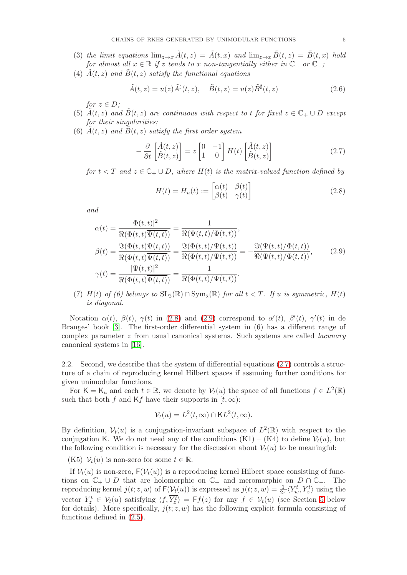- (3) the limit equations  $\lim_{z\to x} \tilde{A}(t, z) = \tilde{A}(t, x)$  and  $\lim_{z\to x} \tilde{B}(t, z) = \tilde{B}(t, x)$  hold for almost all  $x \in \mathbb{R}$  if z tends to x non-tangentially either in  $\mathbb{C}_+$  or  $\mathbb{C}_-$ ;
- (4)  $\tilde{A}(t, z)$  and  $\tilde{B}(t, z)$  satisfy the functional equations

<span id="page-4-3"></span>
$$
\tilde{A}(t,z) = u(z)\tilde{A}^{\sharp}(t,z), \quad \tilde{B}(t,z) = u(z)\tilde{B}^{\sharp}(t,z)
$$
\n(2.6)

for  $z \in D$ ;

- (5)  $\overline{A}(t, z)$  and  $\overline{B}(t, z)$  are continuous with respect to t for fixed  $z \in \mathbb{C}_+ \cup D$  except for their singularities;
- (6)  $\tilde{A}(t, z)$  and  $\tilde{B}(t, z)$  satisfy the first order system

<span id="page-4-2"></span>
$$
-\frac{\partial}{\partial t}\begin{bmatrix} \tilde{A}(t,z) \\ \tilde{B}(t,z) \end{bmatrix} = z \begin{bmatrix} 0 & -1 \\ 1 & 0 \end{bmatrix} H(t) \begin{bmatrix} \tilde{A}(t,z) \\ \tilde{B}(t,z) \end{bmatrix}
$$
(2.7)

for  $t < T$  and  $z \in \mathbb{C}_+ \cup D$ , where  $H(t)$  is the matrix-valued function defined by

<span id="page-4-0"></span>
$$
H(t) = H_u(t) := \begin{bmatrix} \alpha(t) & \beta(t) \\ \beta(t) & \gamma(t) \end{bmatrix}
$$
 (2.8)

and

<span id="page-4-1"></span>
$$
\alpha(t) = \frac{|\Phi(t,t)|^2}{\Re(\Phi(t,t)\overline{\Psi(t,t)})} = \frac{1}{\Re(\Psi(t,t)/\Phi(t,t))},
$$
  
\n
$$
\beta(t) = \frac{\Im(\Phi(t,t)\overline{\Psi(t,t)})}{\Re(\Phi(t,t)\overline{\Psi(t,t)})} = \frac{\Im(\Phi(t,t)/\Psi(t,t))}{\Re(\Phi(t,t)/\Psi(t,t))} = -\frac{\Im(\Psi(t,t)/\Phi(t,t))}{\Re(\Psi(t,t)/\Phi(t,t))},
$$
\n
$$
\gamma(t) = \frac{|\Psi(t,t)|^2}{\Re(\Phi(t,t)\overline{\Psi(t,t)})} = \frac{1}{\Re(\Phi(t,t)/\Psi(t,t))}.
$$
\n(2.9)

(7)  $H(t)$  of (6) belongs to  $SL_2(\mathbb{R}) \cap Sym_2(\mathbb{R})$  for all  $t < T$ . If u is symmetric,  $H(t)$ is diagonal.

Notation  $\alpha(t)$ ,  $\beta(t)$ ,  $\gamma(t)$  in [\(2.8\)](#page-4-0) and [\(2.9\)](#page-4-1) correspond to  $\alpha'(t)$ ,  $\beta'(t)$ ,  $\gamma'(t)$  in de Branges' book [\[3\]](#page-25-11). The first-order differential system in (6) has a different range of complex parameter  $z$  from usual canonical systems. Such systems are called *lacunary* canonical systems in [\[16\]](#page-25-2).

<span id="page-4-4"></span>2.2. Second, we describe that the system of differential equations [\(2.7\)](#page-4-2) controls a structure of a chain of reproducing kernel Hilbert spaces if assuming further conditions for given unimodular functions.

For  $\mathsf{K} = \mathsf{K}_u$  and each  $t \in \mathbb{R}$ , we denote by  $\mathcal{V}_t(u)$  the space of all functions  $f \in L^2(\mathbb{R})$ such that both f and Kf have their supports in  $[t, \infty)$ :

$$
\mathcal{V}_t(u) = L^2(t, \infty) \cap \mathsf{K}L^2(t, \infty).
$$

By definition,  $V_t(u)$  is a conjugation-invariant subspace of  $L^2(\mathbb{R})$  with respect to the conjugation K. We do not need any of the conditions  $(K1) - (K4)$  to define  $\mathcal{V}_t(u)$ , but the following condition is necessary for the discussion about  $\mathcal{V}_t(u)$  to be meaningful:

(K5)  $\mathcal{V}_t(u)$  is non-zero for some  $t \in \mathbb{R}$ .

If  $V_t(u)$  is non-zero,  $F(V_t(u))$  is a reproducing kernel Hilbert space consisting of functions on  $\mathbb{C}_+ \cup D$  that are holomorphic on  $\mathbb{C}_+$  and meromorphic on  $D \cap \mathbb{C}_-$ . The reproducing kernel  $j(t; z, w)$  of  $F(\mathcal{V}_t(u))$  is expressed as  $j(t; z, w) = \frac{1}{2\pi} \langle Y_w^t, Y_z^t \rangle$  using the vector  $Y_z^t \in \mathcal{V}_t(u)$  satisfying  $\langle f, \overline{Y_z^t} \rangle = \mathsf{F}f(z)$  for any  $f \in \mathcal{V}_t(u)$  (see Section [5](#page-13-0) below for details). More specifically,  $j(t; z, w)$  has the following explicit formula consisting of functions defined in [\(2.5\)](#page-3-3).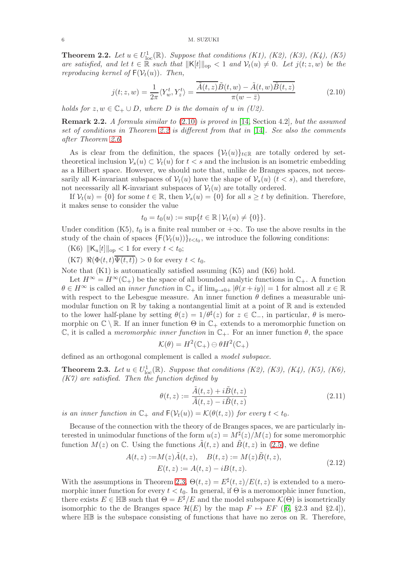<span id="page-5-0"></span>**Theorem 2.2.** Let  $u \in U^1_{loc}(\mathbb{R})$ . Suppose that conditions (K1), (K2), (K3), (K4), (K5) are satisfied, and let  $t \in \mathbb{R}$  such that  $||K[t]||_{op} < 1$  and  $\mathcal{V}_t(u) \neq 0$ . Let  $j(t; z, w)$  be the reproducing kernel of  $F(V_t(u))$ . Then,

<span id="page-5-2"></span>
$$
j(t; z, w) = \frac{1}{2\pi} \langle Y_w^t, Y_z^t \rangle = \frac{\overline{\tilde{A}(t, z)} \tilde{B}(t, w) - \tilde{A}(t, w) \overline{\tilde{B}(t, z)}}{\pi(w - \bar{z})}
$$
(2.10)

holds for  $z, w \in \mathbb{C}_+ \cup D$ , where D is the domain of u in (U2).

Remark 2.2. A formula similar to [\(2.10\)](#page-5-2) is proved in [\[14,](#page-25-1) Section 4.2], but the assumed set of conditions in Theorem [2.2](#page-5-0) is different from that in [\[14\]](#page-25-1). See also the comments after Theorem [2.6.](#page-6-0)

As is clear from the definition, the spaces  $\{\mathcal{V}_t(u)\}_{t\in\mathbb{R}}$  are totally ordered by settheoretical inclusion  $V_s(u) \subset V_t(u)$  for  $t < s$  and the inclusion is an isometric embedding as a Hilbert space. However, we should note that, unlike de Branges spaces, not necessarily all K-invariant subspaces of  $V_t(u)$  have the shape of  $V_s(u)$   $(t < s)$ , and therefore, not necessarily all K-invariant subspaces of  $V_t(u)$  are totally ordered.

If  $\mathcal{V}_t(u) = \{0\}$  for some  $t \in \mathbb{R}$ , then  $\mathcal{V}_s(u) = \{0\}$  for all  $s \geq t$  by definition. Therefore, it makes sense to consider the value

$$
t_0 = t_0(u) := \sup\{t \in \mathbb{R} \,|\, \mathcal{V}_t(u) \neq \{0\}\}.
$$

Under condition (K5),  $t_0$  is a finite real number or  $+\infty$ . To use the above results in the study of the chain of spaces  $\{\mathsf{F}(\mathcal{V}_t(u))\}_{t < t_0}$ , we introduce the following conditions:

(K6)  $\|K_u[t]\|_{\text{op}} < 1$  for every  $t < t_0$ ;

 $(K7) \mathcal{R}(\Phi(t,t)\overline{\Psi(t,t)}) > 0$  for every  $t < t_0$ .

Note that (K1) is automatically satisfied assuming (K5) and (K6) hold.

Let  $H^{\infty} = H^{\infty}(\mathbb{C}_{+})$  be the space of all bounded analytic functions in  $\mathbb{C}_{+}$ . A function  $\theta \in H^\infty$  is called an *inner function* in  $\mathbb{C}_+$  if  $\lim_{y\to 0+} |\theta(x+iy)| = 1$  for almost all  $x \in \mathbb{R}$ with respect to the Lebesgue measure. An inner function  $\theta$  defines a measurable unimodular function on  $\mathbb R$  by taking a nontangential limit at a point of  $\mathbb R$  and is extended to the lower half-plane by setting  $\theta(z) = 1/\theta^{\sharp}(z)$  for  $z \in \mathbb{C}_{-}$ , in particular,  $\theta$  is meromorphic on  $\mathbb{C} \setminus \mathbb{R}$ . If an inner function  $\Theta$  in  $\mathbb{C}_+$  extends to a meromorphic function on C, it is called a *meromorphic inner function* in  $\mathbb{C}_+$ . For an inner function  $\theta$ , the space

$$
\mathcal{K}(\theta) = H^2(\mathbb{C}_+) \ominus \theta H^2(\mathbb{C}_+)
$$

defined as an orthogonal complement is called a model subspace.

<span id="page-5-1"></span>**Theorem 2.3.** Let  $u \in U^1_{loc}(\mathbb{R})$ . Suppose that conditions (K2), (K3), (K4), (K5), (K6),  $(K7)$  are satisfied. Then the function defined by

<span id="page-5-4"></span>
$$
\theta(t,z) := \frac{\tilde{A}(t,z) + i\tilde{B}(t,z)}{\tilde{A}(t,z) - i\tilde{B}(t,z)}
$$
\n(2.11)

is an inner function in  $\mathbb{C}_+$  and  $F(V_t(u)) = \mathcal{K}(\theta(t,z))$  for every  $t < t_0$ .

Because of the connection with the theory of de Branges spaces, we are particularly interested in unimodular functions of the form  $u(z) = M^{\sharp}(z)/M(z)$  for some meromorphic function  $M(z)$  on C. Using the functions  $\tilde{A}(t, z)$  and  $\tilde{B}(t, z)$  in [\(2.5\)](#page-3-3), we define

<span id="page-5-3"></span>
$$
A(t, z) := M(z)\tilde{A}(t, z), \quad B(t, z) := M(z)\tilde{B}(t, z), E(t, z) := A(t, z) - iB(t, z).
$$
 (2.12)

With the assumptions in Theorem [2.3,](#page-5-1)  $\Theta(t,z) = E^{\sharp}(t,z)/E(t,z)$  is extended to a meromorphic inner function for every  $t < t_0$ . In general, if  $\Theta$  is a meromorphic inner function, there exists  $E \in \mathbb{HB}$  such that  $\Theta = E^{\sharp}/E$  and the model subspace  $\mathcal{K}(\Theta)$  is isometrically isomorphic to the de Branges space  $\mathcal{H}(E)$  by the map  $F \mapsto EF$  ([\[6,](#page-25-8) §2.3 and §2.4]), where  $\mathbb{HB}$  is the subspace consisting of functions that have no zeros on  $\mathbb{R}$ . Therefore,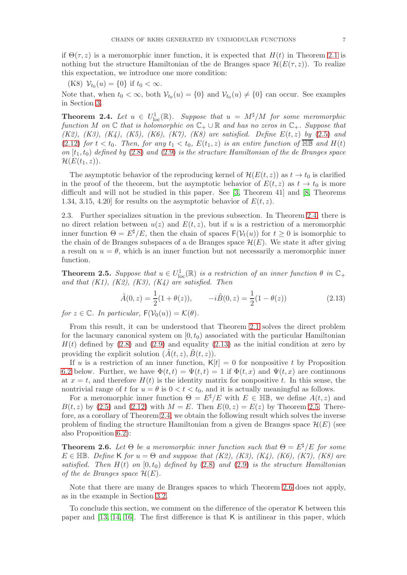if  $\Theta(\tau, z)$  is a meromorphic inner function, it is expected that  $H(t)$  in Theorem [2.1](#page-3-0) is nothing but the structure Hamiltonian of the de Branges space  $\mathcal{H}(E(\tau,z))$ . To realize this expectation, we introduce one more condition:

(K8)  $\mathcal{V}_{t_0}(u) = \{0\}$  if  $t_0 < \infty$ .

Note that, when  $t_0 < \infty$ , both  $\mathcal{V}_{t_0}(u) = \{0\}$  and  $\mathcal{V}_{t_0}(u) \neq \{0\}$  can occur. See examples in Section [3.](#page-7-0)

<span id="page-6-1"></span>**Theorem 2.4.** Let  $u \in U^1_{loc}(\mathbb{R})$ . Suppose that  $u = M^{\sharp}/M$  for some meromorphic function M on  $\mathbb C$  that is holomorphic on  $\mathbb C_+ \cup \mathbb R$  and has no zeros in  $\mathbb C_+$ . Suppose that (K2), (K3), (K4), (K5), (K6), (K7), (K8) are satisfied. Define  $E(t, z)$  by [\(2.5\)](#page-3-3) and [\(2.12\)](#page-5-3) for  $t < t_0$ . Then, for any  $t_1 < t_0$ ,  $E(t_1, z)$  is an entire function of  $\overline{\mathbb{HB}}$  and  $H(t)$ on  $[t_1, t_0]$  defined by [\(2.8\)](#page-4-0) and [\(2.9\)](#page-4-1) is the structure Hamiltonian of the de Branges space  $\mathcal{H}(E(t_1,z)).$ 

The asymptotic behavior of the reproducing kernel of  $\mathcal{H}(E(t, z))$  as  $t \to t_0$  is clarified in the proof of the theorem, but the asymptotic behavior of  $E(t, z)$  as  $t \to t_0$  is more difficult and will not be studied in this paper. See [\[3,](#page-25-11) Theorem 41] and [\[8,](#page-25-12) Theorems 1.34, 3.15, 4.20 for results on the asymptotic behavior of  $E(t, z)$ .

<span id="page-6-4"></span>2.3. Further specializes situation in the previous subsection. In Theorem [2.4,](#page-6-1) there is no direct relation between  $u(z)$  and  $E(t, z)$ , but if u is a restriction of a meromorphic inner function  $\Theta = E^{\sharp}/E$ , then the chain of spaces  $F(\mathcal{V}_t(u))$  for  $t > 0$  is isomorphic to the chain of de Branges subspaces of a de Branges space  $\mathcal{H}(E)$ . We state it after giving a result on  $u = \theta$ , which is an inner function but not necessarily a meromorphic inner function.

<span id="page-6-2"></span>**Theorem 2.5.** Suppose that  $u \in U^1_{loc}(\mathbb{R})$  is a restriction of an inner function  $\theta$  in  $\mathbb{C}_+$ and that  $(K1)$ ,  $(K2)$ ,  $(K3)$ ,  $(K4)$  are satisfied. Then

<span id="page-6-3"></span>
$$
\tilde{A}(0, z) = \frac{1}{2}(1 + \theta(z)), \qquad -i\tilde{B}(0, z) = \frac{1}{2}(1 - \theta(z))
$$
\n(2.13)

for  $z \in \mathbb{C}$ . In particular,  $F(\mathcal{V}_0(u)) = \mathcal{K}(\theta)$ .

From this result, it can be understood that Theorem [2.1](#page-3-0) solves the direct problem for the lacunary canonical system on  $[0, t_0)$  associated with the particular Hamiltonian  $H(t)$  defined by  $(2.8)$  and  $(2.9)$  and equality  $(2.13)$  as the initial condition at zero by providing the explicit solution  $(A(t, z), B(t, z))$ .

If u is a restriction of an inner function,  $K[t] = 0$  for nonpositive t by Proposition [6.2](#page-22-1) below. Further, we have  $\Phi(t,t) = \Psi(t,t) = 1$  if  $\Phi(t,x)$  and  $\Psi(t,x)$  are continuous at  $x = t$ , and therefore  $H(t)$  is the identity matrix for nonpositive t. In this sense, the nontrivial range of t for  $u = \theta$  is  $0 < t < t_0$ , and it is actually meaningful as follows.

For a meromorphic inner function  $\Theta = E^{\sharp}/E$  with  $E \in \mathbb{HB}$ , we define  $A(t, z)$  and  $B(t, z)$  by [\(2.5\)](#page-3-3) and [\(2.12\)](#page-5-3) with  $M = E$ . Then  $E(0, z) = E(z)$  by Theorem [2.5.](#page-6-2) Therefore, as a corollary of Theorem [2.4,](#page-6-1) we obtain the following result which solves the inverse problem of finding the structure Hamiltonian from a given de Branges space  $\mathcal{H}(E)$  (see also Proposition [6.2\)](#page-22-1):

<span id="page-6-0"></span>**Theorem 2.6.** Let  $\Theta$  be a meromorphic inner function such that  $\Theta = E^{\sharp}/E$  for some  $E \in \mathbb{HB}$ . Define K for  $u = \Theta$  and suppose that (K2), (K3), (K4), (K6), (K7), (K8) are satisfied. Then  $H(t)$  on  $[0, t_0)$  defined by  $(2.8)$  and  $(2.9)$  is the structure Hamiltonian of the de Branges space  $\mathcal{H}(E)$ .

Note that there are many de Branges spaces to which Theorem [2.6](#page-6-0) does not apply, as in the example in Section [3.2.](#page-7-1)

To conclude this section, we comment on the difference of the operator K between this paper and [\[13,](#page-25-0) [14,](#page-25-1) [16\]](#page-25-2). The first difference is that K is antilinear in this paper, which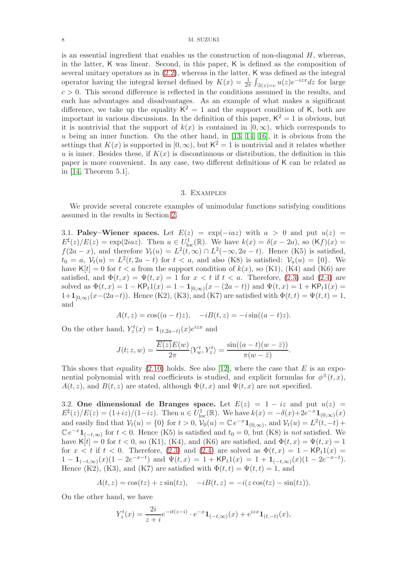#### 8 M. SUZUKI

is an essential ingredient that enables us the construction of non-diagonal  $H$ , whereas, in the latter, K was linear. Second, in this paper, K is defined as the composition of several unitary operators as in [\(2.2\)](#page-2-0), whereas in the latter, K was defined as the integral operator having the integral kernel defined by  $K(x) = \frac{1}{2\pi} \int_{\Im(z)=c} u(z)e^{-izx}dz$  for large  $c > 0$ . This second difference is reflected in the conditions assumed in the results, and each has advantages and disadvantages. As an example of what makes a significant difference, we take up the equality  $K^2 = 1$  and the support condition of K, both are important in various discussions. In the definition of this paper,  $K^2 = 1$  is obvious, but it is nontrivial that the support of  $k(x)$  is contained in  $[0,\infty)$ , which corresponds to  $u$  being an inner function. On the other hand, in [\[13,](#page-25-0) [14,](#page-25-1) [16\]](#page-25-2), it is obvious from the settings that  $K(x)$  is supported in  $[0, \infty)$ , but  $\mathsf{K}^2 = 1$  is nontrivial and it relates whether u is inner. Besides these, if  $K(x)$  is discontinuous or distribution, the definition in this paper is more convenient. In any case, two different definitions of K can be related as in [\[14,](#page-25-1) Theorem 5.1].

#### 3. Examples

<span id="page-7-0"></span>We provide several concrete examples of unimodular functions satisfying conditions assumed in the results in Section [2.](#page-1-0)

3.1. Paley–Wiener spaces. Let  $E(z) = \exp(-iaz)$  with  $a > 0$  and put  $u(z) =$  $E^{\sharp}(z)/E(z) = \exp(2iaz)$ . Then  $u \in U^{1}_{loc}(\mathbb{R})$ . We have  $k(x) = \delta(x - 2a)$ , so  $(Kf)(x) =$  $f(2a-x)$ , and therefore  $V_t(u) = L^2(t,\infty) \cap L^2(-\infty,2a-t)$ . Hence (K5) is satisfied,  $t_0 = a, \mathcal{V}_t(u) = L^2(t, 2a - t)$  for  $t < a$ , and also (K8) is satisfied:  $\mathcal{V}_a(u) = \{0\}$ . We have  $K[t] = 0$  for  $t < a$  from the support condition of  $k(x)$ , so (K1), (K4) and (K6) are satisfied, and  $\Phi(t, x) = \Psi(t, x) = 1$  for  $x < t$  if  $t < a$ . Therefore, [\(2.3\)](#page-3-1) and [\(2.4\)](#page-3-2) are solved as  $\Phi(t, x) = 1 - \mathsf{KP}_t 1(x) = 1 - \mathbf{1}_{[0, \infty)}(x - (2a - t))$  and  $\Psi(t, x) = 1 + \mathsf{KP}_t 1(x) =$  $1+1_{[0,\infty)}(x-(2a-t))$ . Hence (K2), (K3), and (K7) are satisfied with  $\Phi(t,t) = \Psi(t,t) = 1$ , and

$$
A(t, z) = cos((a - t)z), -iB(t, z) = -i sin((a - t)z).
$$

On the other hand,  $Y_z^t(x) = \mathbf{1}_{(t,2a-t)}(x)e^{izx}$  and

$$
J(t; z, w) = \frac{\overline{E(z)}E(w)}{2\pi} \langle Y_w^t, Y_z^t \rangle = \frac{\sin((a-t)(w-\overline{z}))}{\pi(w-\overline{z})}.
$$

This shows that equality  $(2.10)$  holds. See also [\[12\]](#page-25-13), where the case that E is an exponential polynomial with real coefficients is studied, and explicit formulas for  $\phi^{\pm}(t,x)$ ,  $A(t, z)$ , and  $B(t, z)$  are stated, although  $\Phi(t, x)$  and  $\Psi(t, x)$  are not specified.

<span id="page-7-1"></span>3.2. One dimensional de Branges space. Let  $E(z) = 1 - iz$  and put  $u(z) =$  $E^{\sharp}(z)/E(z) = (1+iz)/(1-iz)$ . Then  $u \in U^{1}_{loc}(\mathbb{R})$ . We have  $k(x) = -\delta(x) + 2e^{-x}\mathbf{1}_{(0,\infty)}(x)$ and easily find that  $V_t(u) = \{0\}$  for  $t > 0$ ,  $V_0(u) = \mathbb{C} e^{-x} \mathbf{1}_{(0,\infty)}$ , and  $V_t(u) = L^2(t,-t) +$  $\mathbb{C}e^{-x}\mathbf{1}_{(-t,\infty)}$  for  $t < 0$ . Hence (K5) is satisfied and  $t_0 = 0$ , but (K8) is not satisfied. We have K[t] = 0 for  $t < 0$ , so (K1), (K4), and (K6) are satisfied, and  $\Phi(t, x) = \Psi(t, x) = 1$ for  $x < t$  if  $t < 0$ . Therefore, [\(2.3\)](#page-3-1) and [\(2.4\)](#page-3-2) are solved as  $\Phi(t, x) = 1 - \mathsf{KP}_t 1(x) =$  $1 - \mathbf{1}_{(-t,\infty)}(x)(1 - 2e^{-x-t})$  and  $\Psi(t,x) = 1 + \mathsf{KP}_t 1(x) = 1 + \mathbf{1}_{(-t,\infty)}(x)(1 - 2e^{-x-t}).$ Hence (K2), (K3), and (K7) are satisfied with  $\Phi(t,t) = \Psi(t,t) = 1$ , and

$$
A(t, z) = \cos(tz) + z\sin(tz), \quad -iB(t, z) = -i(z\cos(tz) - \sin(tz)).
$$

On the other hand, we have

$$
Y_z^t(x) = \frac{2i}{z+i}e^{-it(z-i)} \cdot e^{-x} \mathbf{1}_{(-t,\infty)}(x) + e^{izx} \mathbf{1}_{(t,-t)}(x),
$$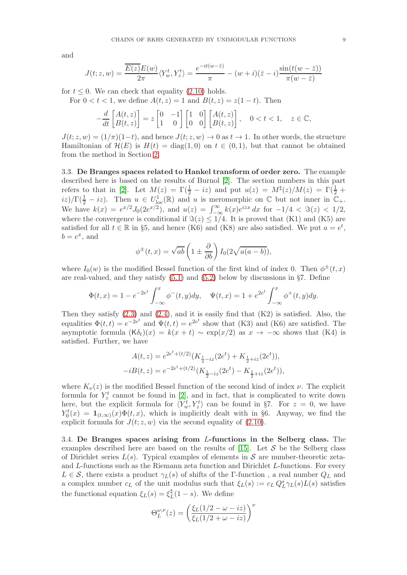and

$$
J(t; z, w) = \frac{\overline{E(z)}E(w)}{2\pi} \langle Y_w^t, Y_z^t \rangle = \frac{e^{-it(w-\overline{z})}}{\pi} - (w+i)(\overline{z}-i) \frac{\sin(t(w-\overline{z}))}{\pi(w-\overline{z})}
$$

for  $t \leq 0$ . We can check that equality [\(2.10\)](#page-5-2) holds.

For  $0 < t < 1$ , we define  $A(t, z) = 1$  and  $B(t, z) = z(1 - t)$ . Then

$$
-\frac{d}{dt}\begin{bmatrix} A(t,z) \\ B(t,z) \end{bmatrix} = z \begin{bmatrix} 0 & -1 \\ 1 & 0 \end{bmatrix} \begin{bmatrix} 1 & 0 \\ 0 & 0 \end{bmatrix} \begin{bmatrix} A(t,z) \\ B(t,z) \end{bmatrix}, \quad 0 < t < 1, \quad z \in \mathbb{C},
$$

 $J(t; z, w) = (1/\pi)(1-t)$ , and hence  $J(t; z, w) \rightarrow 0$  as  $t \rightarrow 1$ . In other words, the structure Hamiltonian of  $\mathcal{H}(E)$  is  $H(t) = \text{diag}(1,0)$  on  $t \in (0,1)$ , but that cannot be obtained from the method in Section [2.](#page-1-0)

3.3. De Branges spaces related to Hankel transform of order zero. The example described here is based on the results of Burnol [\[2\]](#page-25-14). The section numbers in this part refers to that in [\[2\]](#page-25-14). Let  $M(z) = \Gamma(\frac{1}{2} - iz)$  and put  $u(z) = M^{\sharp}(z)/M(z) = \Gamma(\frac{1}{2} +$  $(iz)/\Gamma(\frac{1}{2}-iz)$ . Then  $u \in U^1_{loc}(\mathbb{R})$  and u is meromorphic on  $\mathbb C$  but not inner in  $\mathbb{C}_+$ . We have  $k(x) = e^{x/2} J_0(2e^{x/2})$ , and  $u(z) = \int_{-\infty}^{\infty} k(x)e^{izx} dx$  for  $-1/4 < \Im(z) < 1/2$ , where the convergence is conditional if  $\Im(z) \leq 1/4$ . It is proved that (K1) and (K5) are satisfied for all  $t \in \mathbb{R}$  in §5, and hence (K6) and (K8) are also satisfied. We put  $a = e^t$ ,  $b = e^x$ , and

$$
\phi^{\pm}(t,x) = \sqrt{ab} \left( 1 \pm \frac{\partial}{\partial b} \right) I_0(2\sqrt{a(a-b)}),
$$

where  $I_0(w)$  is the modified Bessel function of the first kind of index 0. Then  $\phi^{\pm}(t,x)$ are real-valued, and they satisfy  $(5.1)$  and  $(5.2)$  below by discussions in §7. Define

$$
\Phi(t,x) = 1 - e^{-2e^t} \int_{-\infty}^x \phi^-(t,y) dy, \quad \Psi(t,x) = 1 + e^{2e^t} \int_{-\infty}^x \phi^+(t,y) dy.
$$

Then they satisfy  $(2.3)$  and  $(2.4)$ , and it is easily find that  $(K2)$  is satisfied. Also, the equalities  $\Phi(t,t) = e^{-2e^t}$  and  $\Psi(t,t) = e^{2e^t}$  show that (K3) and (K6) are satisfied. The asymptotic formula  $(K\delta_t)(x) = k(x + t) \sim \exp(x/2)$  as  $x \to -\infty$  shows that  $(K4)$  is satisfied. Further, we have

$$
A(t, z) = e^{2e^t + (t/2)} (K_{\frac{1}{2} - iz}(2e^t) + K_{\frac{1}{2} + iz}(2e^t)),
$$
  

$$
-iB(t, z) = e^{-2e^t + (t/2)} (K_{\frac{1}{2} - iz}(2e^t) - K_{\frac{1}{2} + iz}(2e^t)),
$$

where  $K_{\nu}(z)$  is the modified Bessel function of the second kind of index  $\nu$ . The explicit formula for  $Y_z^t$  cannot be found in [\[2\]](#page-25-14), and in fact, that is complicated to write down here, but the explicit formula for  $\langle Y_w^t, Y_z^t \rangle$  can be found in §7. For  $z = 0$ , we have  $Y_0^t(x) = \mathbf{1}_{(t,\infty)}(x)\Phi(t,x)$ , which is implicitly dealt with in §6. Anyway, we find the explicit formula for  $J(t; z, w)$  via the second equality of [\(2.10\)](#page-5-2).

3.4. De Branges spaces arising from L-functions in the Selberg class. The examples described here are based on the results of  $[15]$ . Let S be the Selberg class of Dirichlet series  $L(s)$ . Typical examples of elements in S are number-theoretic zetaand L-functions such as the Riemann zeta function and Dirichlet L-functions. For every  $L \in \mathcal{S}$ , there exists a product  $\gamma_L(s)$  of shifts of the Γ-function, a real number  $Q_L$  and a complex number  $c_L$  of the unit modulus such that  $\xi_L(s) := c_L Q_L^s \gamma_L(s) L(s)$  satisfies the functional equation  $\xi_L(s) = \xi_L^{\sharp}$  $_{L}^{\sharp}(1-s)$ . We define

$$
\Theta_L^{\omega,\nu}(z) = \left(\frac{\xi_L(1/2-\omega-iz)}{\xi_L(1/2+\omega-iz)}\right)^{\nu}
$$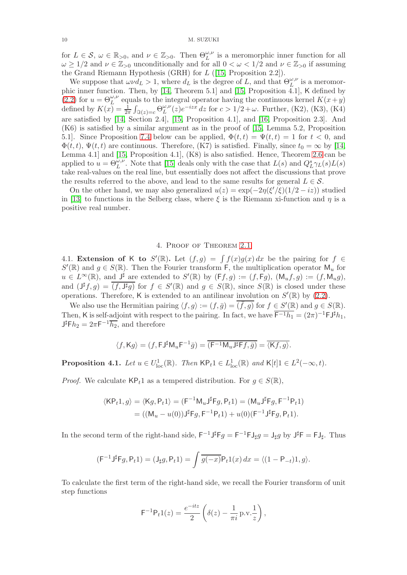for  $L \in \mathcal{S}, \omega \in \mathbb{R}_{\geq 0}$ , and  $\nu \in \mathbb{Z}_{> 0}$ . Then  $\Theta_L^{\omega,\nu}$  is a meromorphic inner function for all  $\omega \geq 1/2$  and  $\nu \in \mathbb{Z}_{>0}$  unconditionally and for all  $0 < \omega < 1/2$  and  $\nu \in \mathbb{Z}_{>0}$  if assuming the Grand Riemann Hypothesis (GRH) for L ([\[15,](#page-25-3) Proposition 2.2]).

We suppose that  $\omega \nu d_L > 1$ , where  $d_L$  is the degree of L, and that  $\Theta_L^{\omega,\nu}$  is a meromor-phic inner function. Then, by [\[14,](#page-25-1) Theorem 5.1] and [\[15,](#page-25-3) Proposition 4.1], K defined by [\(2.2\)](#page-2-0) for  $u = \Theta_L^{\omega,\nu}$  equals to the integral operator having the continuous kernel  $K(x+y)$ defined by  $K(x) = \frac{1}{2\pi} \int_{\Im(z)=c} \Theta_L^{\omega,\nu}$  $_{L}^{\omega,\nu}(z)e^{-izx}$  dz for  $c > 1/2 + ω$ . Further, (K2), (K3), (K4) are satisfied by [\[14,](#page-25-1) Section 2.4], [\[15,](#page-25-3) Proposition 4.1], and [\[16,](#page-25-2) Proposition 2.3]. And (K6) is satisfied by a similar argument as in the proof of [\[15,](#page-25-3) Lemma 5.2, Proposition 5.1]. Since Proposition [7.4](#page-24-0) below can be applied,  $\Phi(t,t) = \Psi(t,t) = 1$  for  $t < 0$ , and  $\Phi(t, t)$ ,  $\Psi(t, t)$  are continuous. Therefore, (K7) is satisfied. Finally, since  $t_0 = \infty$  by [\[14,](#page-25-1) Lemma 4.1] and [\[15,](#page-25-3) Proposition 4.1], (K8) is also satisfied. Hence, Theorem [2.6](#page-6-0) can be applied to  $u = \Theta_L^{\omega,\nu}$ . Note that [\[15\]](#page-25-3) deals only with the case that  $L(s)$  and  $Q_L^s \gamma_L(s) L(s)$ take real-values on the real line, but essentially does not affect the discussions that prove the results referred to the above, and lead to the same results for general  $L \in \mathcal{S}$ .

On the other hand, we may also generalized  $u(z) = \exp(-2\eta(\xi'/\xi)(1/2 - iz))$  studied in [\[13\]](#page-25-0) to functions in the Selberg class, where  $\xi$  is the Riemann xi-function and  $\eta$  is a positive real number.

#### 4. Proof of Theorem [2.1](#page-3-0)

<span id="page-9-2"></span><span id="page-9-0"></span>4.1. Extension of K to  $S'(\mathbb{R})$ . Let  $(f,g) = \int f(x)g(x) dx$  be the pairing for  $f \in$  $S'(\mathbb{R})$  and  $g \in S(\mathbb{R})$ . Then the Fourier transform F, the multiplication operator  $\mathsf{M}_u$  for  $u \in L^{\infty}(\mathbb{R})$ , and  $J^{\sharp}$  are extended to  $S'(\mathbb{R})$  by  $(Ff,g) := (f,Fg)$ ,  $(\mathsf{M}_u f, g) := (f, \mathsf{M}_u g)$ , and  $(\mathsf{J}^{\sharp} f, g) = \overline{(f, \mathsf{J}^{\sharp} g)}$  for  $f \in S'(\mathbb{R})$  and  $g \in S(\mathbb{R})$ , since  $S(\mathbb{R})$  is closed under these operations. Therefore, K is extended to an antilinear involution on  $S'(\mathbb{R})$  by  $(2.2)$ .

We also use the Hermitian pairing  $\langle f, g \rangle := (f, \overline{g}) = \overline{(\overline{f}, g)}$  for  $f \in S'(\mathbb{R})$  and  $g \in S(\mathbb{R})$ . Then, K is self-adjoint with respect to the pairing. In fact, we have  $\overline{F^{-1}h_1} = (2\pi)^{-1} \mathsf{FJ}^{\sharp} h_1$ ,  $J^{\sharp} \mathsf{F} h_2 = 2\pi \mathsf{F}^{-1} \overline{h_2}$ , and therefore

$$
\langle f, \mathsf{K} g \rangle = (f, \mathsf{F} \mathsf{J}^{\sharp} \mathsf{M}_{u} \mathsf{F}^{-1} \bar{g}) = \overline{(\mathsf{F}^{-1} \mathsf{M}_{u} \mathsf{J}^{\sharp} \mathsf{F} f, \bar{g})} = \overline{\langle \mathsf{K} f, g \rangle}.
$$

<span id="page-9-1"></span>**Proposition 4.1.** Let  $u \in U^1_{loc}(\mathbb{R})$ . Then  $\mathsf{KP}_t1 \in L^1_{loc}(\mathbb{R})$  and  $\mathsf{K}[t]1 \in L^2(-\infty, t)$ .

*Proof.* We calculate  $\mathsf{KP}_t1$  as a tempered distribution. For  $g \in S(\mathbb{R})$ ,

$$
\langle \mathsf{KP}_t 1, g \rangle = \langle \mathsf{K} g, \mathsf{P}_t 1 \rangle = (\mathsf{F}^{-1} \mathsf{M}_u \mathsf{J}^\sharp \mathsf{F} g, \mathsf{P}_t 1) = (\mathsf{M}_u \mathsf{J}^\sharp \mathsf{F} g, \mathsf{F}^{-1} \mathsf{P}_t 1) = ((\mathsf{M}_u - u(0)) \mathsf{J}^\sharp \mathsf{F} g, \mathsf{F}^{-1} \mathsf{P}_t 1) + u(0) (\mathsf{F}^{-1} \mathsf{J}^\sharp \mathsf{F} g, \mathsf{P}_t 1).
$$

In the second term of the right-hand side,  $F^{-1}J^{\sharp}Fg = F^{-1}FJ_{\sharp}g = J_{\sharp}g$  by  $J^{\sharp}F = FJ_{\sharp}$ . Thus

$$
(\mathsf{F}^{-1}\mathsf{J}^{\sharp}\mathsf{F}\mathsf{g},\mathsf{P}_t\mathbf{1})=(\mathsf{J}_{\sharp}\mathsf{g},\mathsf{P}_t\mathbf{1})=\int\overline{\mathsf{g}(-x)}\mathsf{P}_t\mathbf{1}(x)\,dx=\langle(\mathbf{1}-\mathsf{P}_{-t})\mathbf{1},\mathsf{g}\rangle.
$$

To calculate the first term of the right-hand side, we recall the Fourier transform of unit step functions

$$
\mathsf{F}^{-1}\mathsf{P}_t 1(z) = \frac{e^{-itz}}{2} \left( \delta(z) - \frac{1}{\pi i} \operatorname{p.v.} \frac{1}{z} \right),
$$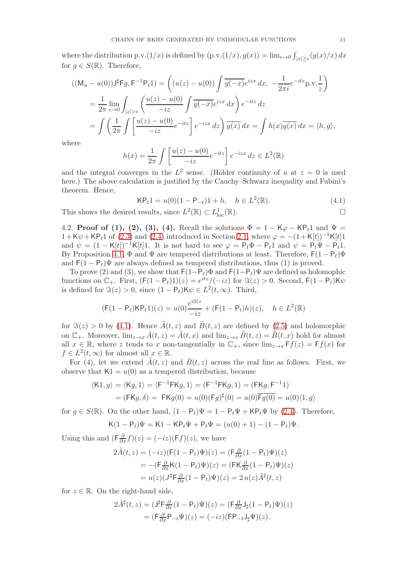where the distribution p.v. $(1/x)$  is defined by  $(p.v. (1/x), g(x)) = \lim_{\epsilon \to 0} \int_{|x| \ge \epsilon} (g(x)/x) dx$ for  $g \in S(\mathbb{R})$ . Therefore,

$$
((\mathsf{M}_{u}-u(0))\mathsf{J}^{\sharp} \mathsf{F}g, \mathsf{F}^{-1} \mathsf{P}_{t}1) = \left((u(z)-u(0))\int \overline{g(-x)}e^{izx} dx, -\frac{1}{2\pi i}e^{-itz}\mathsf{p.v.}\frac{1}{z}\right)
$$
  

$$
= \frac{1}{2\pi} \lim_{\epsilon \to 0} \int_{|z| > \epsilon} \left(\frac{u(z)-u(0)}{-iz}\int \overline{g(-x)}e^{izx} dx\right) e^{-itz} dz
$$
  

$$
= \int \left(\frac{1}{2\pi} \int \left[\frac{u(z)-u(0)}{-iz}e^{-itz}\right]e^{-izx} dz\right) \overline{g(x)} dx = \int h(x)\overline{g(x)} dx = \langle h, g \rangle,
$$

where

$$
h(x) = \frac{1}{2\pi} \int \left[ \frac{u(z) - u(0)}{-iz} e^{-itz} \right] e^{-izx} dz \in L^2(\mathbb{R})
$$

and the integral converges in the  $L^2$  sense. (Hölder continuity of u at  $z = 0$  is used here.) The above calculation is justified by the Cauchy–Schwarz inequality and Fubini's theorem. Hence,

<span id="page-10-0"></span>
$$
\mathsf{KP}_t 1 = u(0)(1 - \mathsf{P}_{-t}) 1 + h, \quad h \in L^2(\mathbb{R}).\tag{4.1}
$$

This shows the desired results, since  $L^2(\mathbb{R}) \subset L^1_{loc}(\mathbb{R})$ .

4.2. Proof of (1), (2), (3), (4). Recall the solutions  $\Phi = 1 - K\varphi - KP_t1$  and  $\Psi =$  $1+K\psi+KP_t1$  of [\(2.3\)](#page-3-1) and [\(2.4\)](#page-3-2) introduced in Section [2.1,](#page-2-2) where  $\varphi = -(1+K[t])^{-1}K[t]1$ and  $\psi = (1 - K[t])^{-1}K[t]1$ . It is not hard to see  $\varphi = P_t\Phi - P_t1$  and  $\psi = P_t\Psi - P_t1$ . By Proposition [4.1,](#page-9-1)  $\Phi$  and  $\Psi$  are tempered distributions at least. Therefore,  $F(1 - P_t)\Phi$ and  $F(1 - P_t)\Psi$  are always defined as tempered distributions, thus (1) is proved.

To prove (2) and (3), we show that  $F(1-P_t)\Phi$  and  $F(1-P_t)\Psi$  are defined as holomophic functions on  $\mathbb{C}_+$ . First,  $(F(1 - P_t)1)(z) = e^{itz}/(-iz)$  for  $\Im(z) > 0$ . Second,  $F(1 - P_t)K\psi$ is defined for  $\Im(z) > 0$ , since  $(1 - \mathsf{P}_t)\mathsf{K}\psi \in L^2(t, \infty)$ . Third,

$$
(\mathsf{F}(1 - \mathsf{P}_t)\mathsf{K}\mathsf{P}_t 1)(z) = u(0)\frac{e^{i|t|z}}{-iz} + (\mathsf{F}(1 - \mathsf{P}_t)h)(z), \quad h \in L^2(\mathbb{R})
$$

for  $\Im(z) > 0$  by [\(4.1\)](#page-10-0). Hence  $\tilde{A}(t, z)$  and  $\tilde{B}(t, z)$  are defined by [\(2.5\)](#page-3-3) and holomorphic on  $\mathbb{C}_+$ . Moreover,  $\lim_{z\to x} \tilde{A}(t,z) = \tilde{A}(t,x)$  and  $\lim_{z\to x} \tilde{B}(t,z) = \tilde{B}(t,x)$  hold for almost all  $x \in \mathbb{R}$ , where z tends to x non-tangentially in  $\mathbb{C}_+$ , since  $\lim_{z\to x} Ff(z) = Ff(x)$  for  $f \in L^2(t, \infty)$  for almost all  $x \in \mathbb{R}$ .

For (4), let we extend  $\tilde{A}(t, z)$  and  $\tilde{B}(t, z)$  across the real line as follows. First, we observe that  $K1 = u(0)$  as a tempered distribution, because

$$
\langle \mathsf{K1}, g \rangle = \langle \mathsf{K}g, 1 \rangle = \langle \mathsf{F}^{-1} \mathsf{F} \mathsf{K}g, 1 \rangle = (\mathsf{F}^{-1} \mathsf{F} \mathsf{K}g, 1) = (\mathsf{F} \mathsf{K}g, \mathsf{F}^{-1}1)
$$

$$
= (\mathsf{F} \mathsf{K}g, \delta) = \mathsf{F} \mathsf{K}g(0) = u(0)(\mathsf{F}g)^{\sharp}(0) = u(0)\overline{\mathsf{F}g(0)} = u(0)\langle 1, g \rangle
$$

for  $g \in S(\mathbb{R})$ . On the other hand,  $(1 - P_t)\Psi = 1 - P_t\Psi + \mathsf{KP}_t\Psi$  by [\(2.4\)](#page-3-2). Therefore,

$$
K(1 - P_t)\Psi = K1 - KP_t\Psi + P_t\Psi = (u(0) + 1) - (1 - P_t)\Psi.
$$

Using this and  $(\mathsf{F} \frac{\partial}{\partial x} f)(z) = (-iz)(\mathsf{F} f)(z)$ , we have

$$
\begin{aligned} 2\tilde{A}(t,z) &= (-iz)(\mathsf{F}(1-\mathsf{P}_t)\Psi)(z) = (\mathsf{F}\tfrac{\partial}{\partial x}(1-\mathsf{P}_t)\Psi)(z) \\ &= -(\mathsf{F}\tfrac{\partial}{\partial x}\mathsf{K}(1-\mathsf{P}_t)\Psi)(z) = (\mathsf{F}\mathsf{K}\tfrac{\partial}{\partial x}(1-\mathsf{P}_t)\Psi)(z) \\ &= u(z)(J^{\sharp}\mathsf{F}\tfrac{\partial}{\partial x}(1-\mathsf{P}_t)\Psi)(z) = 2\,u(z)\tilde{A}^{\sharp}(t,z) \end{aligned}
$$

for  $z \in \mathbb{R}$ . On the right-hand side,

$$
2\tilde{A}^{\sharp}(t,z) = (J^{\sharp}F \frac{\partial}{\partial x}(1 - P_t)\Psi)(z) = (F \frac{\partial}{\partial x}J_{\sharp}(1 - P_t)\Psi)(z)
$$
  
= 
$$
(F \frac{\partial}{\partial x}P_{-t}\Psi)(z) = (-iz)(FP_{-t}J_{\sharp}\Psi)(z).
$$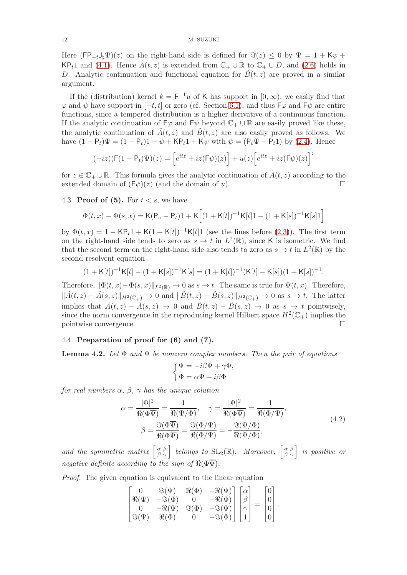#### 12 M. SUZUKI

Here  $(FP_{-t}J_{\sharp}\Psi)(z)$  on the right-hand side is defined for  $\Im(z) \leq 0$  by  $\Psi = 1 + K\psi +$ KP<sub>t</sub>1 and [\(4.1\)](#page-10-0). Hence  $\tilde{A}(t, z)$  is extended from  $\mathbb{C}_+ \cup \mathbb{R}$  to  $\mathbb{C}_+ \cup D$ , and [\(2.6\)](#page-4-3) holds in D. Analytic continuation and functional equation for  $\tilde{B}(t, z)$  are proved in a similar argument.

If the (distribution) kernel  $k = F^{-1}u$  of K has support in  $[0, \infty)$ , we easily find that  $\varphi$  and  $\psi$  have support in  $[-t, t]$  or zero (cf. Section [6.1\)](#page-22-2), and thus  $\vdash \varphi$  and  $\vdash \psi$  are entire functions, since a tempered distribution is a higher derivative of a continuous function. If the analytic continuation of  $\mathsf{F}\varphi$  and  $\mathsf{F}\psi$  beyond  $\mathbb{C}_+ \cup \mathbb{R}$  are easily proved like these, the analytic continuation of  $\tilde{A}(t, z)$  and  $\tilde{B}(t, z)$  are also easily proved as follows. We have  $(1 - P_t)\Psi = (1 - P_t)1 - \psi + KP_t1 + K\psi$  with  $\psi = (P_t\Psi - P_t1)$  by [\(2.4\)](#page-3-2). Hence

$$
(-iz)(\mathsf{F}(1-\mathsf{P}_t)\Psi)(z) = \left[e^{itz} + iz(\mathsf{F}\psi)(z)\right] + u(z)\left[e^{itz} + iz(\mathsf{F}\psi)(z)\right]^{\sharp}
$$

for  $z \in \mathbb{C}_+ \cup \mathbb{R}$ . This formula gives the analytic continuation of  $\tilde{A}(t, z)$  according to the extended domain of  $(Fv)(z)$  (and the domain of  $v$ ). extended domain of  $(F\psi)(z)$  (and the domain of u).

4.3. **Proof of (5).** For  $t < s$ , we have

$$
\Phi(t,x) - \Phi(s,x) = \mathsf{K}(\mathsf{P}_s - \mathsf{P}_t)\mathbf{1} + \mathsf{K}\Big[(1 + \mathsf{K}[t])^{-1}\mathsf{K}[t]\mathbf{1} - (1 + \mathsf{K}[s])^{-1}\mathsf{K}[s]\mathbf{1}\Big]
$$

by  $\Phi(t, x) = 1 - \mathsf{KP}_t 1 + \mathsf{K}(1 + \mathsf{K}[t])^{-1} \mathsf{K}[t] 1$  (see the lines before [\(2.3\)](#page-3-1)). The first term on the right-hand side tends to zero as  $s \to t$  in  $L^2(\mathbb{R})$ , since K is isometric. We find that the second term on the right-hand side also tends to zero as  $s \to t$  in  $L^2(\mathbb{R})$  by the second resolvent equation

$$
(1 + K[t])^{-1}K[t] - (1 + K[s])^{-1}K[s] = (1 + K[t])^{-1}(K[t] - K[s])(1 + K[s])^{-1}.
$$

Therefore,  $\|\Phi(t, x)-\Phi(s, x)\|_{L^2(\mathbb{R})} \to 0$  as  $s \to t$ . The same is true for  $\Psi(t, x)$ . Therefore,  $\|\tilde{A}(t, z) - \tilde{A}(s, z)\|_{H^2(\mathbb{C}_+)} \to 0$  and  $\|\tilde{B}(t, z) - \tilde{B}(s, z)\|_{H^2(\mathbb{C}_+)} \to 0$  as  $s \to t$ . The latter implies that  $\tilde{A}(t, z) - \tilde{A}(s, z) \rightarrow 0$  and  $\tilde{B}(t, z) - \tilde{B}(s, z) \rightarrow 0$  as  $s \rightarrow t$  pointwisely, since the norm convergence in the reproducing kernel Hilbert space  $H^2(\mathbb{C}_+)$  implies the pointwise convergence.  $\hfill \square$ 

# 4.4. Preparation of proof for (6) and (7).

<span id="page-11-1"></span>**Lemma 4.2.** Let  $\Phi$  and  $\Psi$  be nonzero complex numbers. Then the pair of equations

$$
\begin{cases} \Psi = -i\beta\Psi + \gamma\Phi, \\ \Phi = \alpha\Psi + i\beta\Phi \end{cases}
$$

for real numbers  $\alpha$ ,  $\beta$ ,  $\gamma$  has the unique solution

<span id="page-11-0"></span>
$$
\alpha = \frac{|\Phi|^2}{\Re(\Phi \overline{\Psi})} = \frac{1}{\Re(\Psi/\Phi)}, \quad \gamma = \frac{|\Psi|^2}{\Re(\Phi \overline{\Psi})} = \frac{1}{\Re(\Phi/\Psi)},
$$
  

$$
\beta = \frac{\Im(\Phi \overline{\Psi})}{\Re(\Phi \overline{\Psi})} = \frac{\Im(\Phi/\Psi)}{\Re(\Phi/\Psi)} = -\frac{\Im(\Psi/\Phi)}{\Re(\Psi/\Phi)},
$$
(4.2)

and the symmetric matrix  $\begin{bmatrix} \alpha & \beta \\ \beta & \gamma \end{bmatrix}$  belongs to  $SL_2(\mathbb{R})$ . Moreover,  $\begin{bmatrix} \alpha & \beta \\ \beta & \gamma \end{bmatrix}$  is positive or negative definite according to the sign of  $\Re(\Phi \overline{\Psi})$ .

Proof. The given equation is equivalent to the linear equation

$$
\begin{bmatrix}\n0 & \Im(\Psi) & \Re(\Phi) & -\Re(\Psi) \\
\Re(\Psi) & -\Im(\Phi) & 0 & -\Re(\Phi) \\
0 & -\Re(\Psi) & \Im(\Phi) & -\Im(\Psi) \\
\Im(\Psi) & \Re(\Phi) & 0 & -\Im(\Phi)\n\end{bmatrix}\n\begin{bmatrix}\n\alpha \\
\beta \\
\gamma \\
1\n\end{bmatrix} =\n\begin{bmatrix}\n0 \\
0 \\
0 \\
0\n\end{bmatrix}.
$$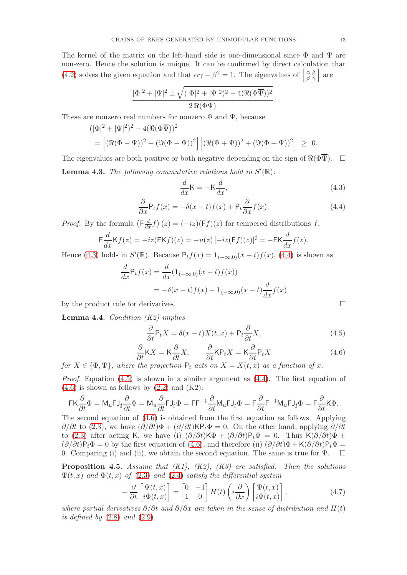The kernel of the matrix on the left-hand side is one-dimensional since  $\Phi$  and  $\Psi$  are non-zero. Hence the solution is unique. It can be confirmed by direct calculation that [\(4.2\)](#page-11-0) solves the given equation and that  $\alpha\gamma - \beta^2 = 1$ . The eigenvalues of  $\begin{bmatrix} \alpha & \beta \\ \beta & \gamma \end{bmatrix}$  are

$$
\frac{|\Phi|^2 + |\Psi|^2 \pm \sqrt{(|\Phi|^2 + |\Psi|^2)^2 - 4(\Re(\Phi\overline{\Psi}))^2}}{2\Re(\Phi\overline{\Psi})}.
$$

These are nonzero real numbers for nonzero  $\Phi$  and  $\Psi$ , because

$$
(|\Phi|^2 + |\Psi|^2)^2 - 4(\Re(\Phi \overline{\Psi}))^2
$$
  
= 
$$
[(\Re(\Phi - \Psi))^2 + (\Im(\Phi - \Psi))^2] [(\Re(\Phi + \Psi))^2 + (\Im(\Phi + \Psi))^2] \ge 0.
$$

The eigenvalues are both positive or both negative depending on the sign of  $\Re(\Phi \overline{\Psi})$ .  $\Box$ **Lemma 4.3.** The following commutative relations hold in  $S'(\mathbb{R})$ :

<span id="page-12-1"></span>
$$
\frac{d}{dx}\mathsf{K} = -\mathsf{K}\frac{d}{dx},\tag{4.3}
$$

<span id="page-12-2"></span>
$$
\frac{\partial}{\partial x} \mathsf{P}_t f(x) = -\delta(x-t) f(x) + \mathsf{P}_t \frac{\partial}{\partial x} f(x). \tag{4.4}
$$

*Proof.* By the formula  $\left(\mathsf{F}_{dx}^{\underline{d}}f\right)(z) = (-iz)(\mathsf{F}f)(z)$  for tempered distributions f,

$$
\mathsf{F}\frac{d}{dx}\mathsf{K}f(z) = -iz(\mathsf{FK}f)(z) = -u(z)\left[-iz(\mathsf{F}f)(z)\right]^{\sharp} = -\mathsf{FK}\frac{d}{dx}f(z).
$$

Hence [\(4.3\)](#page-12-1) holds in  $S'(\mathbb{R})$ . Because  $P_t f(x) = \mathbf{1}_{(-\infty,0)}(x-t) f(x)$ , [\(4.4\)](#page-12-2) is shown as

$$
\frac{d}{dx}P_t f(x) = \frac{d}{dx}(\mathbf{1}_{(-\infty,0)}(x-t)f(x))
$$
  
=  $-\delta(x-t)f(x) + \mathbf{1}_{(-\infty,0)}(x-t)\frac{d}{dx}f(x)$ 

by the product rule for derivatives.

**Lemma 4.4.** Condition  $(K2)$  implies

<span id="page-12-3"></span>
$$
\frac{\partial}{\partial t} \mathsf{P}_t X = \delta(x - t) X(t, x) + \mathsf{P}_t \frac{\partial}{\partial t} X,\tag{4.5}
$$

<span id="page-12-4"></span>
$$
\frac{\partial}{\partial t} \mathsf{K} X = \mathsf{K} \frac{\partial}{\partial t} X, \qquad \frac{\partial}{\partial t} \mathsf{K} \mathsf{P}_t X = \mathsf{K} \frac{\partial}{\partial t} \mathsf{P}_t X \tag{4.6}
$$

for  $X \in {\Phi, \Psi}$ , where the projection  $P_t$  acts on  $X = X(t, x)$  as a function of x.

*Proof.* Equation  $(4.5)$  is shown in a similar argument as  $(4.4)$ . The first equation of  $(4.6)$  is shown as follows by  $(2.2)$  and  $(K2)$ :

$$
\mathsf{FK} \frac{\partial}{\partial t} \Phi = \mathsf{M}_u \mathsf{F} \mathsf{J}_\sharp \frac{\partial}{\partial t} \Phi = \mathsf{M}_u \frac{\partial}{\partial t} \mathsf{F} \mathsf{J}_\sharp \Phi = \mathsf{F} \mathsf{F}^{-1} \frac{\partial}{\partial t} \mathsf{M}_u \mathsf{F} \mathsf{J}_\sharp \Phi = \mathsf{F} \frac{\partial}{\partial t} \mathsf{F}^{-1} \mathsf{M}_u \mathsf{F} \mathsf{J}_\sharp \Phi = \mathsf{F} \frac{\partial}{\partial t} \mathsf{K} \Phi.
$$

The second equation of [\(4.6\)](#page-12-4) is obtained from the first equation as follows. Applying  $\partial/\partial t$  to [\(2.3\)](#page-3-1), we have  $(\partial/\partial t)\Phi + (\partial/\partial t)$ KP<sub>t</sub> $\Phi = 0$ . On the other hand, applying  $\partial/\partial t$ to [\(2.3\)](#page-3-1) after acting K, we have (i)  $(\partial/\partial t)K\Phi + (\partial/\partial t)P_t\Phi = 0$ . Thus K $(\partial/\partial t)\Phi +$  $(\partial/\partial t)P_t\Phi = 0$  by the first equation of [\(4.6\)](#page-12-4), and therefore (ii)  $(\partial/\partial t)\Phi + \mathsf{K}(\partial/\partial t)P_t\Phi = 0$ 0. Comparing (i) and (ii), we obtain the second equation. The same is true for  $\Psi$ .  $\square$ 

<span id="page-12-0"></span>**Proposition 4.5.** Assume that  $(K1)$ ,  $(K2)$ ,  $(K3)$  are satisfied. Then the solutions  $\Psi(t, x)$  and  $\Phi(t, x)$  of [\(2.3\)](#page-3-1) and [\(2.4\)](#page-3-2) satisfy the differential system

<span id="page-12-5"></span>
$$
-\frac{\partial}{\partial t}\begin{bmatrix} \Psi(t,x) \\ i\Phi(t,x) \end{bmatrix} = \begin{bmatrix} 0 & -1 \\ 1 & 0 \end{bmatrix} H(t) \left( i\frac{\partial}{\partial x} \right) \begin{bmatrix} \Psi(t,x) \\ i\Phi(t,x) \end{bmatrix},\tag{4.7}
$$

where partial derivatives  $\partial/\partial t$  and  $\partial/\partial x$  are taken in the sense of distribution and  $H(t)$ is defined by  $(2.8)$  and  $(2.9)$ .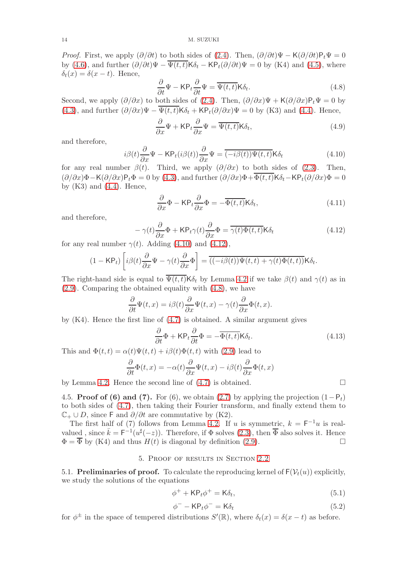*Proof.* First, we apply  $(\partial/\partial t)$  to both sides of [\(2.4\)](#page-3-2). Then,  $(\partial/\partial t)\Psi - \mathsf{K}(\partial/\partial t)\mathsf{P}_t\Psi = 0$ by [\(4.6\)](#page-12-4), and further  $(\partial/\partial t)\Psi - \overline{\Psi(t,t)}\mathsf{K}\delta_t - \mathsf{K}\mathsf{P}_t(\partial/\partial t)\Psi = 0$  by (K4) and [\(4.5\)](#page-12-3), where  $\delta_t(x) = \delta(x - t)$ . Hence,

<span id="page-13-5"></span>
$$
\frac{\partial}{\partial t}\Psi - \mathsf{K}\mathsf{P}_t \frac{\partial}{\partial t}\Psi = \overline{\Psi(t,t)}\mathsf{K}\delta_t.
$$
\n(4.8)

Second, we apply  $(\partial/\partial x)$  to both sides of [\(2.4\)](#page-3-2). Then,  $(\partial/\partial x)\Psi + \mathsf{K}(\partial/\partial x)\mathsf{P}_t\Psi = 0$  by [\(4.3\)](#page-12-1), and further  $(\partial/\partial x)\Psi - \overline{\Psi(t,t)}\mathsf{K}\delta_t + \mathsf{K}\mathsf{P}_t(\partial/\partial x)\Psi = 0$  by (K3) and [\(4.4\)](#page-12-2). Hence,

<span id="page-13-6"></span>
$$
\frac{\partial}{\partial x}\Psi + \mathsf{K}\mathsf{P}_t \frac{\partial}{\partial x}\Psi = \overline{\Psi(t,t)}\mathsf{K}\delta_t,\tag{4.9}
$$

and therefore,

<span id="page-13-3"></span>
$$
i\beta(t)\frac{\partial}{\partial x}\Psi - \mathsf{KP}_t(i\beta(t))\frac{\partial}{\partial x}\Psi = \overline{(-i\beta(t))\Psi(t,t)}\mathsf{K}\delta_t
$$
\n(4.10)

for any real number  $\beta(t)$ . Third, we apply  $(\partial/\partial x)$  to both sides of [\(2.3\)](#page-3-1). Then,  $(\partial/\partial x)\Phi - K(\partial/\partial x)P_t\Phi = 0$  by [\(4.3\)](#page-12-1), and further  $(\partial/\partial x)\Phi + \overline{\Phi(t,t)}K\delta_t - KP_t(\partial/\partial x)\Phi = 0$ by  $(K3)$  and  $(4.4)$ . Hence,

<span id="page-13-7"></span>
$$
\frac{\partial}{\partial x}\Phi - \mathsf{KP}_t \frac{\partial}{\partial x}\Phi = -\overline{\Phi(t,t)}\mathsf{K}\delta_t,\tag{4.11}
$$

and therefore,

<span id="page-13-4"></span>
$$
-\gamma(t)\frac{\partial}{\partial x}\Phi + \mathsf{K}\mathsf{P}_t\gamma(t)\frac{\partial}{\partial x}\Phi = \overline{\gamma(t)\Phi(t,t)}\mathsf{K}\delta_t
$$
\n(4.12)

for any real number  $\gamma(t)$ . Adding [\(4.10\)](#page-13-3) and [\(4.12\)](#page-13-4),

$$
(1 - \mathsf{KP}_t) \left[ i\beta(t) \frac{\partial}{\partial x} \Psi - \gamma(t) \frac{\partial}{\partial x} \Phi \right] = \overline{((-i\beta(t))\Psi(t,t) + \gamma(t)\Phi(t,t))} \mathsf{K} \delta_t.
$$

The right-hand side is equal to  $\Psi(t,t)K\delta_t$  by Lemma [4.2](#page-11-1) if we take  $\beta(t)$  and  $\gamma(t)$  as in [\(2.9\)](#page-4-1). Comparing the obtained equality with [\(4.8\)](#page-13-5), we have

$$
\frac{\partial}{\partial t}\Psi(t,x) = i\beta(t)\frac{\partial}{\partial x}\Psi(t,x) - \gamma(t)\frac{\partial}{\partial x}\Phi(t,x).
$$

by  $(K4)$ . Hence the first line of  $(4.7)$  is obtained. A similar argument gives

<span id="page-13-8"></span>
$$
\frac{\partial}{\partial t}\Phi + \mathsf{KP}_t \frac{\partial}{\partial t}\Phi = -\overline{\Phi(t,t)}\mathsf{K}\delta_t.
$$
\n(4.13)

This and  $\Phi(t,t) = \alpha(t)\Psi(t,t) + i\beta(t)\Phi(t,t)$  with [\(2.9\)](#page-4-1) lead to

$$
\frac{\partial}{\partial t}\Phi(t,x) = -\alpha(t)\frac{\partial}{\partial x}\Psi(t,x) - i\beta(t)\frac{\partial}{\partial x}\Phi(t,x)
$$

by Lemma [4.2.](#page-11-1) Hence the second line of  $(4.7)$  is obtained.

4.5. **Proof of (6) and (7).** For (6), we obtain [\(2.7\)](#page-4-2) by applying the projection  $(1-P_t)$ to both sides of [\(4.7\)](#page-12-5), then taking their Fourier transform, and finally extend them to  $\mathbb{C}_+ \cup D$ , since F and  $\partial/\partial t$  are commutative by (K2).

The first half of (7) follows from Lemma [4.2.](#page-11-1) If u is symmetric,  $k = F^{-1}u$  is realvalued, since  $\bar{k} = \mathsf{F}^{-1}(u^{\sharp}(-z))$ . Therefore, if  $\Phi$  solves [\(2.3\)](#page-3-1), then  $\bar{\Phi}$  also solves it. Hence  $\Phi = \overline{\Phi}$  by (K4) and thus  $H(t)$  is diagonal by definition [\(2.9\)](#page-4-1).

### 5. Proof of results in Section [2.2](#page-4-4)

<span id="page-13-0"></span>5.1. Preliminaries of proof. To calculate the reproducing kernel of  $F(V_t(u))$  explicitly, we study the solutions of the equations

<span id="page-13-1"></span>
$$
\phi^+ + \mathsf{KP}_t \phi^+ = \mathsf{K} \delta_t,\tag{5.1}
$$

<span id="page-13-2"></span>
$$
\phi^- - \mathsf{KP}_t \phi^- = \mathsf{K}\delta_t \tag{5.2}
$$

for  $\phi^{\pm}$  in the space of tempered distributions  $S'(\mathbb{R})$ , where  $\delta_t(x) = \delta(x - t)$  as before.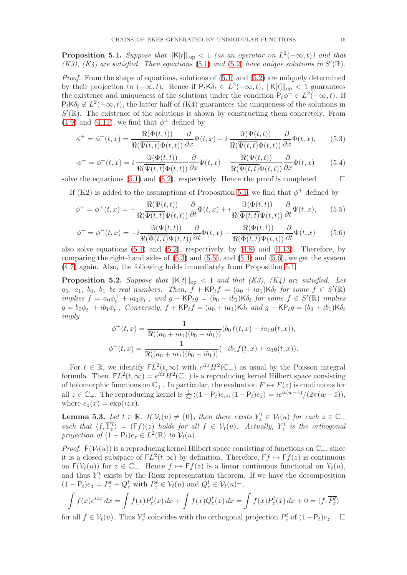<span id="page-14-0"></span>**Proposition 5.1.** Suppose that  $||K[t]||_{op} < 1$  (as an operator on  $L^2(-\infty, t)$ ) and that (K3), (K4) are satisfied. Then equations [\(5.1\)](#page-13-1) and [\(5.2\)](#page-13-2) have unique solutions in  $S'(\mathbb{R})$ .

Proof. From the shape of equations, solutions of  $(5.1)$  and  $(5.2)$  are uniquely determined by their projection to  $(-\infty, t)$ . Hence if P<sub>t</sub>K $\delta_t \in L^2(-\infty, t)$ ,  $||K[t]||_{op} < 1$  guarantees the existence and uniqueness of the solutions under the condition  $P_t\phi^{\pm} \in L^2(-\infty, t)$ . If  $P_t K \delta_t \notin L^2(-\infty, t)$ , the latter half of (K4) guarantees the uniqueness of the solutions in  $S'(\mathbb{R})$ . The existence of the solutions is shown by constructing them concretely. From  $(4.9)$  and  $(4.11)$ , we find that  $\phi^{\pm}$  defined by

<span id="page-14-1"></span>
$$
\phi^+ = \phi^+(t, x) = \frac{\Re(\Phi(t, t))}{\Re(\overline{\Psi(t, t)}\Phi(t, t))} \frac{\partial}{\partial x}\Psi(t, x) - i \frac{\Im(\Psi(t, t))}{\Re(\overline{\Psi(t, t)}\Phi(t, t))} \frac{\partial}{\partial x}\Phi(t, x), \quad (5.3)
$$

<span id="page-14-3"></span>
$$
\phi^{-} = \phi^{-}(t,x) = i \frac{\Im(\Phi(t,t))}{\Re(\overline{\Psi(t,t)}\Phi(t,t))} \frac{\partial}{\partial x} \Psi(t,x) - \frac{\Re(\Psi(t,t))}{\Re(\overline{\Psi(t,t)}\Phi(t,t))} \frac{\partial}{\partial x} \Phi(t,x)
$$
(5.4)

solve the equations [\(5.1\)](#page-13-1) and [\(5.2\)](#page-13-2), respectively. Hence the proof is completed  $\square$ 

If (K2) is added to the assumptions of Proposition [5.1,](#page-14-0) we find that  $\phi^{\pm}$  defined by

<span id="page-14-2"></span>
$$
\phi^+ = \phi^+(t, x) = -\frac{\Re(\Psi(t, t))}{\Re(\overline{\Phi(t, t)}\Psi(t, t))} \frac{\partial}{\partial t} \Phi(t, x) + i \frac{\Im(\Phi(t, t))}{\Re(\overline{\Phi(t, t)}\Psi(t, t))} \frac{\partial}{\partial t} \Psi(t, x), \quad (5.5)
$$

<span id="page-14-4"></span>
$$
\phi^{-} = \phi^{-}(t,x) = -i \frac{\Re(\Psi(t,t))}{\Re(\overline{\Phi(t,t)}\Psi(t,t))} \frac{\partial}{\partial t} \Phi(t,x) + \frac{\Re(\Phi(t,t))}{\Re(\overline{\Phi(t,t)}\Psi(t,t))} \frac{\partial}{\partial t} \Psi(t,x)
$$
(5.6)

also solve equations  $(5.1)$  and  $(5.2)$ , respectively, by  $(4.8)$  and  $(4.13)$ . Therefore, by comparing the right-hand sides of  $(5.3)$  and  $(5.5)$ , and  $(5.4)$  and  $(5.6)$ , we get the system [\(4.7\)](#page-12-5) again. Also, the following holds immediately from Proposition [5.1.](#page-14-0)

**Proposition 5.2.** Suppose that  $||K[t]||_{op} < 1$  and that (K3), (K4) are satisfied. Let  $a_0, a_1, b_0, b_1$  be real numbers. Then,  $f + \mathsf{KP}_t f = (a_0 + ia_1) \mathsf{K} \delta_t$  for some  $f \in S'(\mathbb{R})$ implies  $f = a_0 \phi_t^+ + i a_1 \phi_t^-$ , and  $g - \mathsf{KP}_t g = (b_0 + ib_1) \mathsf{K} \delta_t$  for some  $f \in S'(\mathbb{R})$  implies  $g = b_0 \phi_t^- + ib_1 \phi_t^+$ . Conversely,  $f + \mathsf{KP}_t f = (a_0 + ia_1) \mathsf{K} \delta_t$  and  $g - \mathsf{KP}_t g = (b_0 + ib_1) \mathsf{K} \delta_t$ imply

$$
\phi^+(t,x) = \frac{1}{\Re((a_0 + ia_1)(b_0 - ib_1))} (b_0 f(t,x) - ia_1 g(t,x)),
$$
  

$$
\phi^-(t,x) = \frac{1}{\Re((a_0 + ia_1)(b_0 - ib_1))} (-ib_1 f(t,x) + a_0 g(t,x)).
$$

For  $t \in \mathbb{R}$ , we identify  $FL^2(t,\infty)$  with  $e^{itz}H^2(\mathbb{C}_+)$  as usual by the Poisson integral formula. Then,  $FL^2(t,\infty) = e^{itz}H^2(\mathbb{C}_+)$  is a reproducing kernel Hilbert space consisting of holomorphic functions on  $\mathbb{C}_+$ . In particular, the evaluation  $F \mapsto F(z)$  is continuous for all  $z \in \mathbb{C}_+$ . The reproducing kernel is  $\frac{1}{2\pi} \langle (1 - \mathsf{P}_t)e_w, (1 - \mathsf{P}_t)e_z \rangle = ie^{it(w-\bar{z})}/(2\pi(w-\bar{z})),$ where  $e_z(x) = \exp(izx)$ .

**Lemma 5.3.** Let  $t \in \mathbb{R}$ . If  $\mathcal{V}_t(u) \neq \{0\}$ , then there exists  $Y_z^t \in \mathcal{V}_t(u)$  for each  $z \in \mathbb{C}_+$ such that  $\langle f, \overline{Y_z^t} \rangle = (Ff)(z)$  holds for all  $f \in V_t(u)$ . Actually,  $Y_z^t$  is the orthogonal projection of  $(1 - P_t)e_z \in L^2(\mathbb{R})$  to  $\mathcal{V}_t(u)$ .

*Proof.*  $F(V_t(u))$  is a reproducing kernel Hilbert space consisting of functions on  $\mathbb{C}_+$ , since it is a closed subspace of  $FL^2(t, \infty)$  by definition. Therefore,  $Ff \mapsto Ff(z)$  is continuous on  $F(V_t(u))$  for  $z \in \mathbb{C}_+$ . Hence  $f \mapsto Ff(z)$  is a linear continuous functional on  $V_t(u)$ , and thus  $Y_z^t$  exists by the Riesz representation theorem. If we have the decomposition  $(1 - P_t)e_z = P_z^t + Q_z^t$  with  $P_z^t \in \mathcal{V}_t(u)$  and  $Q_z^t \in \mathcal{V}_t(u)^{\perp}$ ,

$$
\int f(x)e^{izx} dx = \int f(x)P_z^t(x) dx + \int f(x)Q_z^t(x) dx = \int f(x)P_z^t(x) dx + 0 = \langle f, \overline{P_z^t} \rangle
$$

for all  $f \in \mathcal{V}_t(u)$ . Thus  $Y_z^t$  coincides with the orthogonal projection  $P_z^t$  of  $(1-\mathsf{P}_t)e_z$ .  $\Box$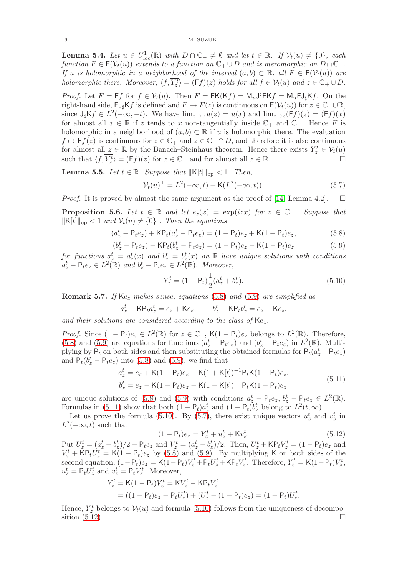<span id="page-15-6"></span>**Lemma 5.4.** Let  $u \in U^1_{loc}(\mathbb{R})$  with  $D \cap \mathbb{C}_- \neq \emptyset$  and let  $t \in \mathbb{R}$ . If  $\mathcal{V}_t(u) \neq \{0\}$ , each function  $F \in \mathsf{F}(\mathcal{V}_t(u))$  extends to a function on  $\mathbb{C}_+ \cup D$  and is meromorphic on  $D \cap \mathbb{C}_-$ . If u is holomorphic in a neighborhood of the interval  $(a, b) \subset \mathbb{R}$ , all  $F \in F(\mathcal{V}_t(u))$  are holomorphic there. Moreover,  $\langle f, \overline{Y_z^t} \rangle = (\mathsf{F}f)(z)$  holds for all  $f \in \mathcal{V}_t(u)$  and  $z \in \mathbb{C}_+ \cup D$ .

*Proof.* Let  $F = Ff$  for  $f \in V_t(u)$ . Then  $F = FK(Kf) = M_u J^{\sharp}FKf = M_uFJ_{\sharp}Kf$ . On the right-hand side,  $\text{FJ}_{\sharp}$ Kf is defined and  $F \mapsto F(z)$  is continuous on  $\text{F}(\mathcal{V}_t(u))$  for  $z \in \mathbb{C}_\text{L} \cup \mathbb{R}$ , since  $J_{\sharp}Kf \in L^{2}(-\infty, -t)$ . We have  $\lim_{z\to x} u(z) = u(x)$  and  $\lim_{z\to x} (Ff)(z) = (Ff)(x)$ for almost all  $x \in \mathbb{R}$  if z tends to x non-tangentially inside  $\mathbb{C}_+$  and  $\mathbb{C}_-$ . Hence F is holomorphic in a neighborhood of  $(a, b) \subset \mathbb{R}$  if u is holomorphic there. The evaluation  $f \mapsto \mathsf{F}f(z)$  is continuous for  $z \in \mathbb{C}_+$  and  $z \in \mathbb{C}_- \cap D$ , and therefore it is also continuous for almost all  $z \in \mathbb{R}$  by the Banach–Steinhaus theorem. Hence there exists  $Y_z^t \in V_t(u)$ such that  $\langle f, \overline{Y_z^t} \rangle = (Ff)(z)$  for  $z \in \mathbb{C}_-$  and for almost all  $z \in \mathbb{R}$ .

**Lemma 5.5.** Let  $t \in \mathbb{R}$ . Suppose that  $\|K[t]\|_{op} < 1$ . Then,

<span id="page-15-4"></span>
$$
\mathcal{V}_t(u)^{\perp} = L^2(-\infty, t) + \mathsf{K}(L^2(-\infty, t)).
$$
\n(5.7)

*Proof.* It is proved by almost the same argument as the proof of [\[14,](#page-25-1) Lemma 4.2].  $\square$ 

**Proposition 5.6.** Let  $t \in \mathbb{R}$  and let  $e_z(x) = \exp(izx)$  for  $z \in \mathbb{C}_+$ . Suppose that  $\|\mathsf{K}[t]\|_{\text{op}} < 1$  and  $\mathcal{V}_t(u) \neq \{0\}$ . Then the equations

<span id="page-15-0"></span>
$$
(a_z^t - P_t e_z) + \mathsf{KP}_t (a_z^t - P_t e_z) = (1 - P_t) e_z + \mathsf{K}(1 - P_t) e_z,
$$
\n(5.8)

<span id="page-15-1"></span>
$$
(b_z^t - P_t e_z) - \mathsf{KP}_t (b_z^t - P_t e_z) = (1 - P_t) e_z - \mathsf{K} (1 - P_t) e_z \tag{5.9}
$$

for functions  $a_z^t = a_z^t(x)$  and  $b_z^t = b_z^t(x)$  on R have unique solutions with conditions  $a_z^t - P_t e_z \in L^2(\mathbb{R})$  and  $b_z^t - P_t e_z \in L^2(\mathbb{R})$ . Moreover,

<span id="page-15-3"></span>
$$
Y_z^t = (1 - \mathsf{P}_t) \frac{1}{2} (a_z^t + b_z^t). \tag{5.10}
$$

**Remark 5.7.** If  $Ke_z$  makes sense, equations [\(5.8\)](#page-15-0) and [\(5.9\)](#page-15-1) are simplified as

$$
a_z^t + \mathsf{KP}_t a_z^t = e_z + \mathsf{K}e_z, \qquad b_z^t - \mathsf{KP}_t b_z^t = e_z - \mathsf{K}e_z,
$$

and their solutions are considered according to the class of  $Ke<sub>z</sub>$ .

*Proof.* Since  $(1 - P_t)e_z \in L^2(\mathbb{R})$  for  $z \in \mathbb{C}_+$ ,  $\mathsf{K}(1 - P_t)e_z$  belongs to  $L^2(\mathbb{R})$ . Therefore, [\(5.8\)](#page-15-0) and [\(5.9\)](#page-15-1) are equations for functions  $(a_z^t - P_t e_z)$  and  $(b_z^t - P_t e_z)$  in  $L^2(\mathbb{R})$ . Multiplying by  $P_t$  on both sides and then substituting the obtained formulas for  $P_t(a_z^t - P_t e_z)$ and  $P_t(b_z^t - P_t e_z)$  into [\(5.8\)](#page-15-0) and [\(5.9\)](#page-15-1), we find that

<span id="page-15-2"></span>
$$
a_z^t = e_z + \mathsf{K}(1 - \mathsf{P}_t)e_z - \mathsf{K}(1 + \mathsf{K}[t])^{-1} \mathsf{P}_t \mathsf{K}(1 - \mathsf{P}_t)e_z,
$$
  
\n
$$
b_z^t = e_z - \mathsf{K}(1 - \mathsf{P}_t)e_z - \mathsf{K}(1 - \mathsf{K}[t])^{-1} \mathsf{P}_t \mathsf{K}(1 - \mathsf{P}_t)e_z
$$
\n(5.11)

are unique solutions of [\(5.8\)](#page-15-0) and [\(5.9\)](#page-15-1) with conditions  $a_z^t - P_t e_z$ ,  $b_z^t - P_t e_z \in L^2(\mathbb{R})$ . Formulas in [\(5.11\)](#page-15-2) show that both  $(1 - P_t)a_z^t$  and  $(1 - P_t)b_z^t$  belong to  $L^2(t, \infty)$ .

Let us prove the formula [\(5.10\)](#page-15-3). By [\(5.7\)](#page-15-4), there exist unique vectors  $u_z^t$  and  $v_z^t$  in  $L^2(-\infty, t)$  such that

<span id="page-15-5"></span>
$$
(1 - \mathsf{P}_t)e_z = Y_z^t + u_z^t + \mathsf{K}v_z^t. \tag{5.12}
$$

Put  $U_z^t = (a_z^t + b_z^t)/2 - P_t e_z$  and  $V_z^t = (a_z^t - b_z^t)/2$ . Then,  $U_z^t + \text{KP}_t V_z^t = (1 - P_t)e_z$  and  $V_z^t$  + KP<sub>t</sub> $U_z^t$  = K(1 – P<sub>t</sub>) $e_z$  by [\(5.8\)](#page-15-0) and [\(5.9\)](#page-15-1). By multiplying K on both sides of the second equation,  $(1 - P_t)e_z = K(1 - P_t)V_z^t + P_tU_z^t + KP_tV_z^t$ . Therefore,  $Y_z^t = K(1 - P_t)V_z^t$ ,  $u_z^t = \mathsf{P}_t U_z^t$  and  $v_z^t = \mathsf{P}_t V_z^t$ . Moreover,

$$
Y_z^t = K(1 - P_t)V_z^t = KV_z^t - KP_tV_z^t
$$
  
= ((1 - P\_t)e\_z - P\_tU\_z^t) + (U\_z^t - (1 - P\_t)e\_z) = (1 - P\_t)U\_z^t.

Hence,  $Y_z^t$  belongs to  $V_t(u)$  and formula [\(5.10\)](#page-15-3) follows from the uniqueness of decomposition  $(5.12)$ .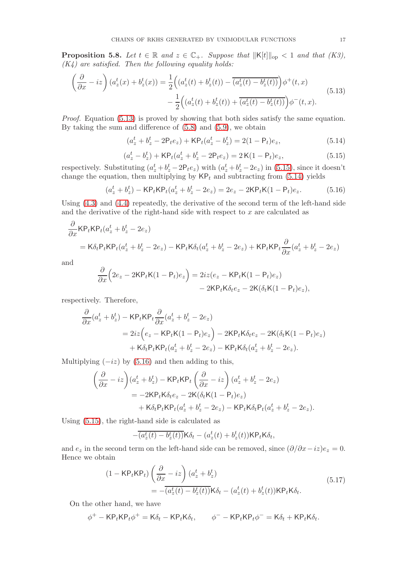**Proposition 5.8.** Let  $t \in \mathbb{R}$  and  $z \in \mathbb{C}_+$ . Suppose that  $\|\mathsf{K}[t]\|_{\text{op}} < 1$  and that  $(K3)$ ,  $(K<sub>4</sub>)$  are satisfied. Then the following equality holds:

<span id="page-16-0"></span>
$$
\left(\frac{\partial}{\partial x} - iz\right) (a_z^t(x) + b_z^t(x)) = \frac{1}{2} \Big( (a_z^t(t) + b_z^t(t)) - \overline{(a_z^t(t) - b_z^t(t))} \Big) \phi^+(t, x) \n- \frac{1}{2} \Big( (a_z^t(t) + b_z^t(t)) + \overline{(a_z^t(t) - b_z^t(t))} \Big) \phi^-(t, x).
$$
\n(5.13)

Proof. Equation [\(5.13\)](#page-16-0) is proved by showing that both sides satisfy the same equation. By taking the sum and difference of [\(5.8\)](#page-15-0) and [\(5.9\)](#page-15-1), we obtain

<span id="page-16-2"></span>
$$
(a_z^t + b_z^t - 2P_t e_z) + \mathsf{KP}_t (a_z^t - b_z^t) = 2(1 - P_t)e_z,
$$
\n(5.14)

<span id="page-16-1"></span>
$$
(a_z^t - b_z^t) + \mathsf{KP}_t(a_z^t + b_z^t - 2\mathsf{P}_t e_z) = 2\,\mathsf{K}(1 - \mathsf{P}_t)e_z,\tag{5.15}
$$

respectively. Substituting  $(a_z^t + b_z^t - 2P_t e_z)$  with  $(a_z^t + b_z^t - 2e_z)$  in [\(5.15\)](#page-16-1), since it doesn't change the equation, then multiplying by  $\mathsf{KP}_t$  and subtracting from [\(5.14\)](#page-16-2) yields

<span id="page-16-3"></span>
$$
(a_z^t + b_z^t) - \mathsf{KP}_t \mathsf{KP}_t (a_z^t + b_z^t - 2e_z) = 2e_z - 2\mathsf{KP}_t \mathsf{K} (1 - \mathsf{P}_t) e_z.
$$
 (5.16)

Using [\(4.3\)](#page-12-1) and [\(4.4\)](#page-12-2) repeatedly, the derivative of the second term of the left-hand side and the derivative of the right-hand side with respect to  $x$  are calculated as

$$
\frac{\partial}{\partial x} \mathsf{KP}_t \mathsf{KP}_t (a_z^t + b_z^t - 2e_z)
$$
\n
$$
= \mathsf{K} \delta_t \mathsf{P}_t \mathsf{KP}_t (a_z^t + b_z^t - 2e_z) - \mathsf{KP}_t \mathsf{K} \delta_t (a_z^t + b_z^t - 2e_z) + \mathsf{KP}_t \mathsf{KP}_t \frac{\partial}{\partial x} (a_z^t + b_z^t - 2e_z)
$$

and

$$
\frac{\partial}{\partial x}\Big(2e_z - 2\mathsf{KP}_t\mathsf{K}(1-\mathsf{P}_t)e_z\Big) = 2iz(e_z - \mathsf{KP}_t\mathsf{K}(1-\mathsf{P}_t)e_z) \n- 2\mathsf{KP}_t\mathsf{K}\delta_t e_z - 2\mathsf{K}(\delta_t\mathsf{K}(1-\mathsf{P}_t)e_z),
$$

respectively. Therefore,

$$
\frac{\partial}{\partial x}(a_z^t + b_z^t) - \text{KP}_t \text{KP}_t \frac{\partial}{\partial x}(a_z^t + b_z^t - 2e_z)
$$
\n
$$
= 2iz \Big(e_z - \text{KP}_t \text{K}(1 - \text{P}_t)e_z\Big) - 2\text{KP}_t \text{K}\delta_t e_z - 2\text{K}(\delta_t \text{K}(1 - \text{P}_t)e_z)
$$
\n
$$
+ \text{K}\delta_t \text{P}_t \text{KP}_t(a_z^t + b_z^t - 2e_z) - \text{KP}_t \text{K}\delta_t(a_z^t + b_z^t - 2e_z).
$$

Multiplying  $(-iz)$  by  $(5.16)$  and then adding to this,

$$
\left(\frac{\partial}{\partial x} - iz\right) (a_z^t + b_z^t) - KP_t KP_t \left(\frac{\partial}{\partial x} - iz\right) (a_z^t + b_z^t - 2e_z)
$$
  
= -2KP\_t K \delta\_t e\_z - 2K(\delta\_t K(1 - P\_t)e\_z)  
+ K \delta\_t P\_t KP\_t (a\_z^t + b\_z^t - 2e\_z) - KP\_t K \delta\_t P\_t (a\_z^t + b\_z^t - 2e\_z).

Using [\(5.15\)](#page-16-1), the right-hand side is calculated as

$$
-\overline{(a_z^t(t)-b_z^t(t))}\mathsf{K}\delta_t-(a_z^t(t)+b_z^t(t))\mathsf{K}\mathsf{P}_t\mathsf{K}\delta_t,
$$

and  $e_z$  in the second term on the left-hand side can be removed, since  $(\partial/\partial x - iz)e_z = 0$ . Hence we obtain

<span id="page-16-4"></span>
$$
(1 - \mathsf{KP}_t \mathsf{KP}_t) \left(\frac{\partial}{\partial x} - iz\right) (a_z^t + b_z^t) = -\overline{(a_z^t(t) - b_z^t(t))} \mathsf{K} \delta_t - (a_z^t(t) + b_z^t(t)) \mathsf{KP}_t \mathsf{K} \delta_t.
$$
(5.17)

On the other hand, we have

$$
\phi^+ - KP_t KP_t \phi^+ = K\delta_t - KP_t K\delta_t, \qquad \phi^- - KP_t KP_t \phi^- = K\delta_t + KP_t K\delta_t.
$$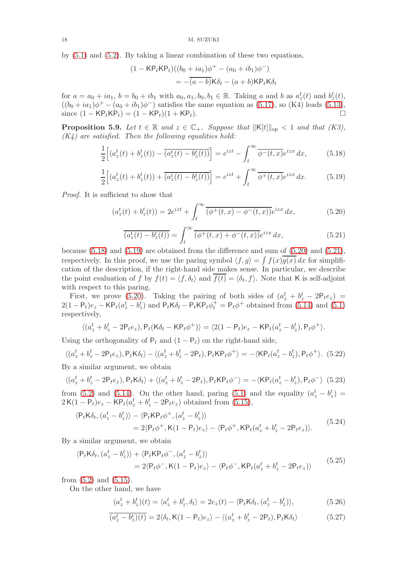by [\(5.1\)](#page-13-1) and [\(5.2\)](#page-13-2). By taking a linear combination of these two equations,

$$
(1 - \mathsf{KP}_t \mathsf{KP}_t)((b_0 + ia_1)\phi^+ - (a_0 + ib_1)\phi^-)
$$
  
= 
$$
-\overline{(a - b)}\mathsf{K}\delta_t - (a + b)\mathsf{KP}_t \mathsf{K}\delta_t
$$

for  $a = a_0 + ia_1$ ,  $b = b_0 + ib_1$  with  $a_0, a_1, b_0, b_1 \in \mathbb{R}$ . Taking a and b as  $a_z^t(t)$  and  $b_z^t(t)$ ,  $((b_0 + ia_1)\phi^+ - (a_0 + ib_1)\phi^-)$  satisfies the same equation as [\(5.17\)](#page-16-4), so (K4) leads [\(5.13\)](#page-16-0), since  $(1 - KP_tKP_t) = (1 - KP_t)(1 + KP_t)$ . □

**Proposition 5.9.** Let  $t \in \mathbb{R}$  and  $z \in \mathbb{C}_+$ . Suppose that  $||\mathsf{K}[t]||_{op} < 1$  and that  $(K3)$ ,  $(K<sub>4</sub>)$  are satisfied. Then the following equalities hold:

<span id="page-17-0"></span>
$$
\frac{1}{2}\left[\left(a_z^t(t) + b_z^t(t)\right) - \overline{\left(a_z^t(t) - b_z^t(t)\right)}\right] = e^{izt} - \int_t^\infty \overline{\phi^-(t,x)} e^{izx} dx,\tag{5.18}
$$

<span id="page-17-1"></span>
$$
\frac{1}{2}\Big[(a_z^t(t) + b_z^t(t)) + \overline{(a_z^t(t) - b_z^t(t))}\Big] = e^{izt} + \int_t^\infty \overline{\phi^+(t,x)} e^{izx} dx. \tag{5.19}
$$

Proof. It is sufficient to show that

<span id="page-17-2"></span>
$$
(a_z^t(t) + b_z^t(t)) = 2e^{izt} + \int_t^\infty \overline{(\phi^+(t,x) - \phi^-(t,x))} e^{izx} dx,
$$
\n(5.20)

<span id="page-17-3"></span>
$$
\overline{(a_z^t(t) - b_z^t(t))} = \int_t^\infty \overline{(\phi^+(t, x) + \phi^-(t, x))} e^{izx} dx,
$$
\n(5.21)

because [\(5.18\)](#page-17-0) and [\(5.19\)](#page-17-1) are obtained from the difference and sum of [\(5.20\)](#page-17-2) and [\(5.21\)](#page-17-3), respectively. In this proof, we use the paring symbol  $\langle f, g \rangle = \int f(x)g(x) dx$  for simplification of the description, if the right-hand side makes sense. In particular, we describe the point evaluation of f by  $f(t) = \langle f, \delta_t \rangle$  and  $f(t) = \langle \delta_t, f \rangle$ . Note that K is self-adjoint with respect to this paring.

First, we prove [\(5.20\)](#page-17-2). Taking the pairing of both sides of  $(a_z^t + b_z^t - 2P_t e_z)$  $2(1 - P_t)e_z - KP_t(a_z^t - b_z^t)$  and  $P_tK\delta_t - P_tKP_t\phi_t^+ = P_t\phi^+$  obtained from [\(5.14\)](#page-16-2) and [\(5.1\)](#page-13-1) respectively,

$$
\langle (a_z^t + b_z^t - 2P_t e_z), P_t(K\delta_t - KP_t \phi^+) \rangle = \langle 2(1 - P_t)e_z - KP_t(a_z^t - b_z^t), P_t \phi^+ \rangle.
$$

Using the orthogonality of  $P_t$  and  $(1 - P_t)$  on the right-hand side,

<span id="page-17-4"></span>
$$
\langle (a_z^t + b_z^t - 2P_t e_z), P_t K \delta_t \rangle - \langle (a_z^t + b_z^t - 2P_t), P_t K P_t \phi^+ \rangle = -\langle K P_t (a_z^t - b_z^t), P_t \phi^+ \rangle. \tag{5.22}
$$

By a similar argument, we obtain

<span id="page-17-5"></span>
$$
\langle (a_z^t + b_z^t - 2P_t e_z), P_t K \delta_t \rangle + \langle (a_z^t + b_z^t - 2P_t), P_t K P_t \phi^- \rangle = -\langle K P_t (a_z^t - b_z^t), P_t \phi^- \rangle
$$
 (5.23)

from [\(5.2\)](#page-13-2) and [\(5.14\)](#page-16-2). On the other hand, paring [\(5.1\)](#page-13-1) and the equality  $(a_z^t - b_z^t) =$  $2\mathsf{K}(1-\mathsf{P}_t)e_z - \mathsf{K}\mathsf{P}_t(a_z^t + b_z^t - 2\mathsf{P}_t e_z)$  obtained from [\(5.15\)](#page-16-1),

<span id="page-17-6"></span>
$$
\langle P_t K \delta_t, (a_z^t - b_z^t) \rangle - \langle P_t K P_t \phi^+, (a_z^t - b_z^t) \rangle
$$
  
= 2\langle P\_t \phi^+, K(1 - P\_t)e\_z \rangle - \langle P\_t \phi^+, K P\_t (a\_z^t + b\_z^t - 2P\_t e\_z) \rangle. (5.24)

By a similar argument, we obtain

<span id="page-17-7"></span>
$$
\langle P_t K \delta_t, (a_z^t - b_z^t) \rangle + \langle P_t K P_t \phi^-, (a_z^t - b_z^t) \rangle
$$
  
= 2\langle P\_t \phi^-, K(1 - P\_t)e\_z \rangle - \langle P\_t \phi^-, K P\_t (a\_z^t + b\_z^t - 2P\_t e\_z) \rangle (5.25)

from  $(5.2)$  and  $(5.15)$ .

On the other hand, we have

<span id="page-17-8"></span>
$$
(a_z^t + b_z^t)(t) = \langle a_z^t + b_z^t, \delta_t \rangle = 2e_z(t) - \langle P_t \mathsf{K} \delta_t, (a_z^t - b_z^t) \rangle,
$$
(5.26)

<span id="page-17-9"></span>
$$
\overline{(a_z^t - b_z^t)(t)} = 2\langle \delta_t, \mathsf{K}(1 - \mathsf{P}_t)e_z \rangle - \langle (a_z^t + b_z^t - 2\mathsf{P}_t), \mathsf{P}_t \mathsf{K} \delta_t \rangle \tag{5.27}
$$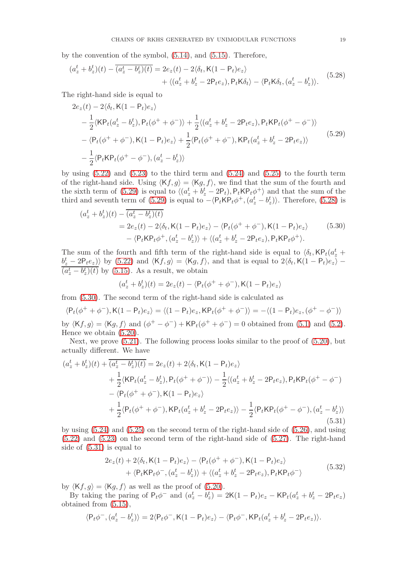by the convention of the symbol, [\(5.14\)](#page-16-2), and [\(5.15\)](#page-16-1). Therefore,

<span id="page-18-1"></span>
$$
(a_z^t + b_z^t)(t) - \overline{(a_z^t - b_z^t)(t)} = 2e_z(t) - 2\langle \delta_t, \mathsf{K}(1 - \mathsf{P}_t)e_z \rangle
$$
  
+  $\langle (a_z^t + b_z^t - 2\mathsf{P}_t e_z), \mathsf{P}_t \mathsf{K} \delta_t \rangle - \langle \mathsf{P}_t \mathsf{K} \delta_t, (a_z^t - b_z^t) \rangle.$  (5.28)

The right-hand side is equal to

<span id="page-18-0"></span>
$$
2e_z(t) - 2\langle \delta_t, \mathsf{K}(1 - \mathsf{P}_t)e_z \rangle
$$
  
\n
$$
- \frac{1}{2} \langle \mathsf{K}\mathsf{P}_t(a_z^t - b_z^t), \mathsf{P}_t(\phi^+ + \phi^-) \rangle + \frac{1}{2} \langle (a_z^t + b_z^t - 2\mathsf{P}_t e_z), \mathsf{P}_t \mathsf{K}\mathsf{P}_t(\phi^+ - \phi^-) \rangle
$$
  
\n
$$
- \langle \mathsf{P}_t(\phi^+ + \phi^-), \mathsf{K}(1 - \mathsf{P}_t)e_z \rangle + \frac{1}{2} \langle \mathsf{P}_t(\phi^+ + \phi^-), \mathsf{K}\mathsf{P}_t(a_z^t + b_z^t - 2\mathsf{P}_t e_z) \rangle
$$
  
\n
$$
- \frac{1}{2} \langle \mathsf{P}_t \mathsf{K}\mathsf{P}_t(\phi^+ - \phi^-), (a_z^t - b_z^t) \rangle
$$
\n(5.29)

by using  $(5.22)$  and  $(5.23)$  to the third term and  $(5.24)$  and  $(5.25)$  to the fourth term of the right-hand side. Using  $\langle Kf, g \rangle = \langle Kg, f \rangle$ , we find that the sum of the fourth and the sixth term of [\(5.29\)](#page-18-0) is equal to  $\langle (a_z^t + b_z^t - 2P_t), P_t \mathsf{KP}_t \phi^+ \rangle$  and that the sum of the third and seventh term of [\(5.29\)](#page-18-0) is equal to  $-\langle P_t \kappa P_t \phi^+, (a_z^t - b_z^t) \rangle$ . Therefore, [\(5.28\)](#page-18-1) is

<span id="page-18-2"></span>
$$
(a_z^t + b_z^t)(t) - \overline{(a_z^t - b_z^t)(t)}
$$
  
=  $2e_z(t) - 2\langle \delta_t, \mathsf{K}(1 - \mathsf{P}_t)e_z \rangle - \langle \mathsf{P}_t(\phi^+ + \phi^-), \mathsf{K}(1 - \mathsf{P}_t)e_z \rangle$  (5.30)  

$$
- \langle \mathsf{P}_t \mathsf{K} \mathsf{P}_t \phi^+, (a_z^t - b_z^t) \rangle + \langle (a_z^t + b_z^t - 2\mathsf{P}_t e_z), \mathsf{P}_t \mathsf{K} \mathsf{P}_t \phi^+ \rangle.
$$

The sum of the fourth and fifth term of the right-hand side is equal to  $\langle \delta_t, \mathsf{KP}_t(a^t) \rangle$  $\langle b_z^t - 2P_t e_z \rangle$  by [\(5.22\)](#page-17-4) and  $\langle Kf, g \rangle = \langle Kg, f \rangle$ , and that is equal to  $2\langle \delta_t, K(1 - P_t) e_z \rangle (a_z^t - b_z^t)(t)$  by [\(5.15\)](#page-16-1). As a result, we obtain

$$
(a_z^t + b_z^t)(t) = 2e_z(t) - \langle P_t(\phi^+ + \phi^-), \mathsf{K}(1 - P_t)e_z \rangle
$$

from [\(5.30\)](#page-18-2). The second term of the right-hand side is calculated as

$$
\langle P_t(\phi^+ + \phi^-), K(1 - P_t)e_z \rangle = \langle (1 - P_t)e_z, K P_t(\phi^+ + \phi^-) \rangle = -\langle (1 - P_t)e_z, (\phi^+ - \phi^-) \rangle
$$

by  $\langle Kf, g \rangle = \langle Kg, f \rangle$  and  $(\phi^+ - \phi^-) + KP_t(\phi^+ + \phi^-) = 0$  obtained from [\(5.1\)](#page-13-1) and [\(5.2\)](#page-13-2). Hence we obtain [\(5.20\)](#page-17-2).

Next, we prove [\(5.21\)](#page-17-3). The following process looks similar to the proof of [\(5.20\)](#page-17-2), but actually different. We have

<span id="page-18-3"></span>
$$
(a_z^t + b_z^t)(t) + \overline{(a_z^t - b_z^t)(t)} = 2e_z(t) + 2\langle \delta_t, \mathsf{K}(1 - \mathsf{P}_t)e_z \rangle
$$
  
+  $\frac{1}{2}\langle \mathsf{KP}_t(a_z^t - b_z^t), \mathsf{P}_t(\phi^+ + \phi^-) \rangle - \frac{1}{2}\langle (a_z^t + b_z^t - 2\mathsf{P}_t e_z), \mathsf{P}_t \mathsf{KP}_t(\phi^+ - \phi^-) \rangle$   
-  $\langle \mathsf{P}_t(\phi^+ + \phi^-), \mathsf{K}(1 - \mathsf{P}_t)e_z \rangle$   
+  $\frac{1}{2}\langle \mathsf{P}_t(\phi^+ + \phi^-), \mathsf{KP}_t(a_z^t + b_z^t - 2\mathsf{P}_t e_z) \rangle - \frac{1}{2}\langle \mathsf{P}_t \mathsf{KP}_t(\phi^+ - \phi^-), (a_z^t - b_z^t) \rangle$   
(5.31)

by using [\(5.24\)](#page-17-6) and [\(5.25\)](#page-17-7) on the second term of the right-hand side of [\(5.26\)](#page-17-8), and using [\(5.22\)](#page-17-4) and [\(5.23\)](#page-17-5) on the second term of the right-hand side of [\(5.27\)](#page-17-9). The right-hand side of [\(5.31\)](#page-18-3) is equal to

<span id="page-18-4"></span>
$$
2e_z(t) + 2\langle \delta_t, \mathsf{K}(1-\mathsf{P}_t)e_z \rangle - \langle \mathsf{P}_t(\phi^+ + \phi^-), \mathsf{K}(1-\mathsf{P}_t)e_z \rangle + \langle \mathsf{P}_t \mathsf{K} \mathsf{P}_t \phi^-, (a_z^t - b_z^t) \rangle + \langle (a_z^t + b_z^t - 2\mathsf{P}_t e_z), \mathsf{P}_t \mathsf{K} \mathsf{P}_t \phi^- \rangle
$$
(5.32)

by  $\langle Kf, g \rangle = \langle Kg, f \rangle$  as well as the proof of [\(5.20\)](#page-17-2).

By taking the paring of  $P_t\phi^-$  and  $(a_z^t - b_z^t) = 2\mathsf{K}(1 - P_t)e_z - \mathsf{K}P_t(a_z^t + b_z^t - 2P_t e_z)$ obtained from [\(5.15\)](#page-16-1),

$$
\langle P_t \phi^-, (a_z^t - b_z^t) \rangle = 2 \langle P_t \phi^-, K(1 - P_t) e_z \rangle - \langle P_t \phi^-, K P_t (a_z^t + b_z^t - 2P_t e_z) \rangle.
$$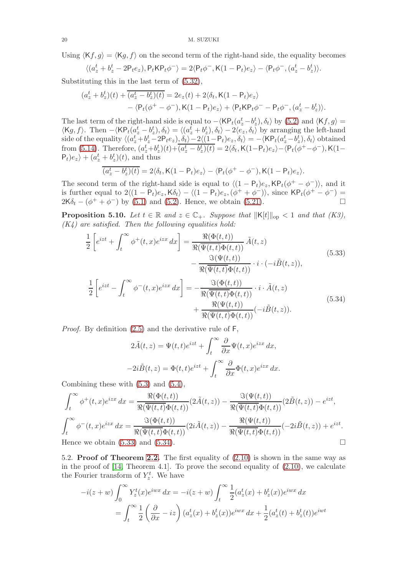Using  $\langle Kf, g \rangle = \langle Kg, f \rangle$  on the second term of the right-hand side, the equality becomes

$$
\langle (a^t_z+b^t_z-2\mathsf{P}_t e_z), \mathsf{P}_t \mathsf{K} \mathsf{P}_t \phi^-\rangle = 2\langle \mathsf{P}_t \phi^-, \mathsf{K}(1-\mathsf{P}_t) e_z\rangle - \langle \mathsf{P}_t \phi^-, (a^t_z-b^t_z)\rangle.
$$

Substituting this in the last term of [\(5.32\)](#page-18-4),

$$
(a_z^t + b_z^t)(t) + \overline{(a_z^t - b_z^t)(t)} = 2e_z(t) + 2\langle \delta_t, \mathsf{K}(1 - \mathsf{P}_t)e_z \rangle
$$
  
 
$$
- \langle \mathsf{P}_t(\phi^+ - \phi^-), \mathsf{K}(1 - \mathsf{P}_t)e_z \rangle + \langle \mathsf{P}_t \mathsf{K} \mathsf{P}_t \phi^- - \mathsf{P}_t \phi^-, (a_z^t - b_z^t) \rangle.
$$

The last term of the right-hand side is equal to  $-\langle \mathsf{KP}_t(a^t_z-b^t_z), \delta_t \rangle$  by [\(5.2\)](#page-13-2) and  $\langle \mathsf{K}f, g \rangle =$  $\langle \mathsf{K}g, f \rangle$ . Then  $-\langle \mathsf{KP}_t(a_z^t - b_z^t), \delta_t \rangle = \langle (a_z^t + b_z^t), \delta_t \rangle - 2\langle e_z, \delta_t \rangle$  by arranging the left-hand side of the equality  $\langle (a_z^t + b_z^t - 2P_t e_z), \delta_t \rangle - 2 \langle (1 - P_t) e_z, \delta_t \rangle = -\langle \mathsf{KP}_t(a_z^t - b_z^t), \delta_t \rangle$  obtained from [\(5.14\)](#page-16-2). Therefore,  $(a_z^t + b_z^t)(t) + \overline{(a_z^t - b_z^t)(t)} = 2\langle \delta_t, \mathsf{K}(1-\mathsf{P}_t)e_z \rangle - \langle \mathsf{P}_t(\phi^+ - \phi^-), \mathsf{K}(1-\mathsf{P}_t)e_z \rangle$  $\langle P_t \rangle e_z \rangle + (a_z^t + b_z^t)(t)$ , and thus

$$
\overline{(a_z^t - b_z^t)(t)} = 2\langle \delta_t, \mathsf{K}(1-\mathsf{P}_t)e_z \rangle - \langle \mathsf{P}_t(\phi^+ - \phi^-), \mathsf{K}(1-\mathsf{P}_t)e_z \rangle.
$$

The second term of the right-hand side is equal to  $\langle (1 - P_t)e_z, \mathsf{KP}_t(\phi^+ - \phi^-) \rangle$ , and it is further equal to  $2\langle (1 - P_t)e_z, K\delta_t \rangle - \langle (1 - P_t)e_z, (\phi^+ + \phi^-) \rangle$ , since  $\mathsf{KP}_t(\phi^+ - \phi^-) =$  $2K\delta_t - (\phi^+ + \phi^-)$  by [\(5.1\)](#page-13-1) and [\(5.2\)](#page-13-2). Hence, we obtain [\(5.21\)](#page-17-3).

**Proposition 5.10.** Let  $t \in \mathbb{R}$  and  $z \in \mathbb{C}_+$ . Suppose that  $||K[t]||_{op} < 1$  and that  $(K3)$ ,  $(K<sub>4</sub>)$  are satisfied. Then the following equalities hold:

<span id="page-19-0"></span>
$$
\frac{1}{2} \left[ e^{izt} + \int_{t}^{\infty} \phi^{+}(t,x) e^{izx} dx \right] = \frac{\Re(\Phi(t,t))}{\Re(\overline{\Psi(t,t)}\Phi(t,t))} \tilde{A}(t,z) \n- \frac{\Im(\Psi(t,t))}{\Re(\overline{\Psi(t,t)}\Phi(t,t))} \cdot i \cdot (-i\tilde{B}(t,z)),
$$
\n(5.33)\n
$$
\frac{1}{2} \left[ e^{izt} - \int_{t}^{\infty} \phi^{-}(t,x) e^{izx} dx \right] = -\frac{\Im(\Phi(t,t))}{\Re(\overline{\Psi(t,t)}\Phi(t,t))} \cdot i \cdot \tilde{A}(t,z) \n+ \frac{\Re(\Psi(t,t))}{\Re(\overline{\Psi(t,t)}\Phi(t,t))} (-i\tilde{B}(t,z)).
$$
\n(5.34)

<span id="page-19-1"></span>Proof. By definition [\(2.5\)](#page-3-3) and the derivative rule of F,

$$
2\tilde{A}(t,z) = \Psi(t,t)e^{izt} + \int_t^{\infty} \frac{\partial}{\partial x} \Psi(t,x)e^{izx} dx,
$$
  

$$
-2i\tilde{B}(t,z) = \Phi(t,t)e^{izt} + \int_t^{\infty} \frac{\partial}{\partial x} \Phi(t,x)e^{izx} dx.
$$

Combining these with [\(5.3\)](#page-14-1) and [\(5.4\)](#page-14-3),

$$
\int_{t}^{\infty} \phi^{+}(t,x)e^{izx} dx = \frac{\Re(\Phi(t,t))}{\Re(\overline{\Psi(t,t)}\Phi(t,t))} (2\tilde{A}(t,z)) - \frac{\Im(\Psi(t,t))}{\Re(\overline{\Psi(t,t)}\Phi(t,t))} (2\tilde{B}(t,z)) - e^{izt},
$$

$$
\int_{t}^{\infty} \phi^{-}(t,x)e^{izx} dx = \frac{\Im(\Phi(t,t))}{\Re(\overline{\Psi(t,t)}\Phi(t,t))} (2i\tilde{A}(t,z)) - \frac{\Re(\Psi(t,t))}{\Re(\overline{\Psi(t,t)}\Phi(t,t))} (-2i\tilde{B}(t,z)) + e^{izt}.
$$
Hence we obtain (5.33) and (5.34).

5.2. Proof of Theorem [2.2.](#page-5-0) The first equality of [\(2.10\)](#page-5-2) is shown in the same way as in the proof of [\[14,](#page-25-1) Theorem 4.1]. To prove the second equality of [\(2.10\)](#page-5-2), we calculate the Fourier transform of  $Y_z^t$ . We have

$$
-i(z+w)\int_0^\infty Y_z^t(x)e^{iwx} dx = -i(z+w)\int_t^\infty \frac{1}{2}(a_z^t(x) + b_z^t(x))e^{iwx} dx
$$
  
= 
$$
\int_t^\infty \frac{1}{2}(\frac{\partial}{\partial x} - iz) (a_z^t(x) + b_z^t(x))e^{iwx} dx + \frac{1}{2}(a_z^t(t) + b_z^t(t))e^{iwt}
$$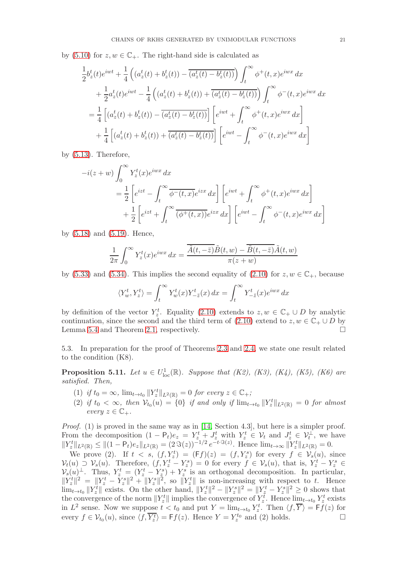by [\(5.10\)](#page-15-3) for  $z, w \in \mathbb{C}_+$ . The right-hand side is calculated as

$$
\frac{1}{2}b_z^t(t)e^{iwt} + \frac{1}{4}\left((a_z^t(t) + b_z^t(t)) - \overline{(a_z^t(t) - b_z^t(t))}\right)\int_t^{\infty} \phi^+(t, x)e^{iwx} dx \n+ \frac{1}{2}a_z^t(t)e^{iwt} - \frac{1}{4}\left((a_z^t(t) + b_z^t(t)) + \overline{(a_z^t(t) - b_z^t(t))}\right)\int_t^{\infty} \phi^-(t, x)e^{iwx} dx \n= \frac{1}{4}\left[(a_z^t(t) + b_z^t(t)) - \overline{(a_z^t(t) - b_z^t(t))}\right]\left[e^{iwt} + \int_t^{\infty} \phi^+(t, x)e^{iwx} dx\right] \n+ \frac{1}{4}\left[(a_z^t(t) + b_z^t(t)) + \overline{(a_z^t(t) - b_z^t(t))}\right]\left[e^{iwt} - \int_t^{\infty} \phi^-(t, x)e^{iwx} dx\right]
$$

by [\(5.13\)](#page-16-0). Therefore,

$$
-i(z+w)\int_0^\infty Y_z^t(x)e^{iwx} dx
$$
  
=  $\frac{1}{2}\left[e^{izt} - \int_t^\infty \overline{\phi^-(t,x)}e^{izx} dx\right] \left[e^{iwt} + \int_t^\infty \phi^+(t,x)e^{iwx} dx\right]$   
+  $\frac{1}{2}\left[e^{izt} + \int_t^\infty \overline{(\phi^+(t,x))}e^{izx} dx\right] \left[e^{iwt} - \int_t^\infty \phi^-(t,x)e^{iwx} dx\right]$ 

by [\(5.18\)](#page-17-0) and [\(5.19\)](#page-17-1). Hence,

$$
\frac{1}{2\pi} \int_0^\infty Y_z^t(x) e^{iwx} dx = \frac{\overline{\tilde{A}(t, -\overline{z})} \tilde{B}(t, w) - \overline{\tilde{B}(t, -\overline{z})} \tilde{A}(t, w)}{\pi (z + w)}
$$

by [\(5.33\)](#page-19-0) and [\(5.34\)](#page-19-1). This implies the second equality of [\(2.10\)](#page-5-2) for  $z, w \in \mathbb{C}_+$ , because

$$
\langle Y_w^t, Y_z^t \rangle = \int_t^\infty Y_w^t(x) Y_{-\bar{z}}^t(x) \, dx = \int_t^\infty Y_{-\bar{z}}^t(x) e^{iwx} \, dx
$$

by definition of the vector  $Y_z^t$ . Equality [\(2.10\)](#page-5-2) extends to  $z, w \in \mathbb{C}_+ \cup D$  by analytic continuation, since the second and the third term of  $(2.10)$  extend to  $z, w \in \mathbb{C}_+ \cup D$  by Lemma [5.4](#page-15-6) and Theorem [2.1,](#page-3-0) respectively.

5.3. In preparation for the proof of Theorems [2.3](#page-5-1) and [2.4,](#page-6-1) we state one result related to the condition (K8).

<span id="page-20-0"></span>**Proposition 5.11.** Let  $u \in U^1_{loc}(\mathbb{R})$ . Suppose that  $(K2)$ ,  $(K3)$ ,  $(K4)$ ,  $(K5)$ ,  $(K6)$  are satisfied. Then,

- (1) if  $t_0 = \infty$ ,  $\lim_{t \to t_0} ||Y_z^t||_{L^2(\mathbb{R})} = 0$  for every  $z \in \mathbb{C}_+$ ;
- (2) if  $t_0 < \infty$ , then  $\mathcal{V}_{t_0}(u) = \{0\}$  if and only if  $\lim_{t \to t_0} ||Y_z^t||_{L^2(\mathbb{R})} = 0$  for almost every  $z \in \mathbb{C}_+$ .

Proof. (1) is proved in the same way as in [\[14,](#page-25-1) Section 4.3], but here is a simpler proof. From the decomposition  $(1 - P_t)e_z = Y_z^t + J_z^t$  with  $Y_z^t \in V_t$  and  $J_z^t \in V_t^{\perp}$ , we have  $||Y_z^t||_{L^2(\mathbb{R})} \le ||(1 - P_t)e_z||_{L^2(\mathbb{R})} = (2 \Im(z))^{-1/2} e^{-t \Im(z)}$ . Hence  $\lim_{t \to \infty} ||Y_z^t||_{L^2(\mathbb{R})} = 0$ .

We prove (2). If  $t \leq s$ ,  $(f, Y_z^t) = (Ff)(z) = (f, Y_z^s)$  for every  $f \in \mathcal{V}_s(u)$ , since  $\mathcal{V}_t(u) \supset \mathcal{V}_s(u)$ . Therefore,  $(f, Y_z^t - Y_z^s) = 0$  for every  $f \in \mathcal{V}_s(u)$ , that is,  $Y_z^t - Y_z^s \in$  $V_s(u)$ <sup> $\perp$ </sup>. Thus,  $Y_s^t = (Y_s^t - Y_s^s) + Y_s^s$  is an orthogonal decomposition. In particular,  $||Y_z^t||^2 = ||Y_z^t - Y_z^s||^2 + ||Y_z^s||^2$ , so  $||Y_z^t||$  is non-increasing with respect to t. Hence  $\lim_{t\to t_0} ||Y_z^t||$  exists. On the other hand,  $||Y_z^t||^2 - ||Y_z^s||^2 = ||Y_z^t - Y_z^s||^2 \geq 0$  shows that the convergence of the norm  $||Y_z^t||$  implies the convergence of  $Y_z^t$ . Hence  $\lim_{t\to t_0} Y_z^t$  exists in  $L^2$  sense. Now we suppose  $t < t_0$  and put  $Y = \lim_{t \to t_0} Y_z^t$ . Then  $\langle f, \overline{Y} \rangle = \mathsf{F} f(z)$  for every  $f \in \mathcal{V}_{t_0}(u)$ , since  $\langle f, \overline{Y_z^t} \rangle = \mathsf{F}f(z)$ . Hence  $Y = Y_z^{t_0}$  and (2) holds.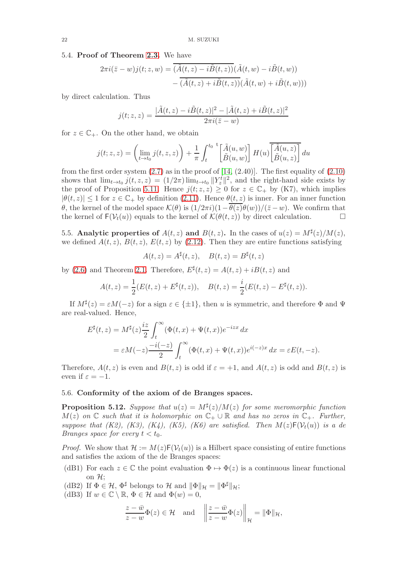#### 5.4. Proof of Theorem [2.3.](#page-5-1) We have

$$
2\pi i(\bar{z} - w)j(t; z, w) = \overline{(\tilde{A}(t, z) - i\tilde{B}(t, z))}(\tilde{A}(t, w) - i\tilde{B}(t, w))
$$

$$
-\overline{(\tilde{A}(t, z) + i\tilde{B}(t, z))}(\tilde{A}(t, w) + i\tilde{B}(t, w)))
$$

by direct calculation. Thus

$$
j(t; z, z) = \frac{|\tilde{A}(t, z) - i\tilde{B}(t, z)|^2 - |\tilde{A}(t, z) + i\tilde{B}(t, z)|^2}{2\pi i(\bar{z} - w)}
$$

for  $z \in \mathbb{C}_+$ . On the other hand, we obtain

$$
j(t; z, z) = \left(\lim_{t \to t_0} j(t, z, z)\right) + \frac{1}{\pi} \int_t^{t_0} \left[\tilde{A}(u, w)\right] H(u) \overline{\left[\tilde{A}(u, z)\right]} du
$$

from the first order system  $(2.7)$  as in the proof of  $[14, (2.40)]$ . The first equality of  $(2.10)$ shows that  $\lim_{t\to t_0} j(t, z, z) = (1/2\pi) \lim_{t\to t_0} ||Y_z^t||^2$ , and the right-hand side exists by the proof of Proposition [5.11.](#page-20-0) Hence  $j(t; z, z) \geq 0$  for  $z \in \mathbb{C}_+$  by (K7), which implies  $|\theta(t, z)| \leq 1$  for  $z \in \mathbb{C}_+$  by definition [\(2.11\)](#page-5-4). Hence  $\theta(t, z)$  is inner. For an inner function θ, the kernel of the model space  $\mathcal{K}(\theta)$  is  $(1/2\pi i)(1-\overline{\theta(z)}\theta(w))/(z-w)$ . We confirm that the kernel of  $\mathcal{K}(\theta(t,z))$  by direct calculation. □ the kernel of  $F(V_t(u))$  equals to the kernel of  $\mathcal{K}(\theta(t,z))$  by direct calculation.

<span id="page-21-0"></span>5.5. Analytic properties of  $A(t, z)$  and  $B(t, z)$ . In the cases of  $u(z) = M^{\sharp}(z)/M(z)$ , we defined  $A(t, z)$ ,  $B(t, z)$ ,  $E(t, z)$  by [\(2.12\)](#page-5-3). Then they are entire functions satisfying

$$
A(t, z) = A^{\sharp}(t, z), \quad B(t, z) = B^{\sharp}(t, z)
$$

by [\(2.6\)](#page-4-3) and Theorem [2.1.](#page-3-0) Therefore,  $E^{\sharp}(t, z) = A(t, z) + iB(t, z)$  and

$$
A(t,z) = \frac{1}{2}(E(t,z) + E^{\sharp}(t,z)), \quad B(t,z) = \frac{i}{2}(E(t,z) - E^{\sharp}(t,z)).
$$

If  $M^{\sharp}(z) = \varepsilon M(-z)$  for a sign  $\varepsilon \in {\pm 1}$ , then u is symmetric, and therefore  $\Phi$  and  $\Psi$ are real-valued. Hence,

$$
E^{\sharp}(t,z) = M^{\sharp}(z)\frac{iz}{2}\int_{t}^{\infty}(\Phi(t,x)+\Psi(t,x))e^{-izx} dx
$$
  
=  $\varepsilon M(-z)\frac{-i(-z)}{2}\int_{t}^{\infty}(\Phi(t,x)+\Psi(t,x))e^{i(-z)x} dx = \varepsilon E(t,-z).$ 

Therefore,  $A(t, z)$  is even and  $B(t, z)$  is odd if  $\varepsilon = +1$ , and  $A(t, z)$  is odd and  $B(t, z)$  is even if  $\varepsilon = -1$ .

## 5.6. Conformity of the axiom of de Branges spaces.

<span id="page-21-1"></span>**Proposition 5.12.** Suppose that  $u(z) = M^{\sharp}(z)/M(z)$  for some meromorphic function  $M(z)$  on  $\mathbb C$  such that it is holomorphic on  $\mathbb C_+ \cup \mathbb R$  and has no zeros in  $\mathbb C_+$ . Further, suppose that (K2), (K3), (K4), (K5), (K6) are satisfied. Then  $M(z)F(V_t(u))$  is a de *Branges space for every*  $t < t_0$ *.* 

*Proof.* We show that  $\mathcal{H} := M(z)\mathsf{F}(\mathcal{V}_t(u))$  is a Hilbert space consisting of entire functions and satisfies the axiom of the de Branges spaces:

- (dB1) For each  $z \in \mathbb{C}$  the point evaluation  $\Phi \mapsto \Phi(z)$  is a continuous linear functional on  $\mathcal{H}$ :
- (dB2) If  $\Phi \in \mathcal{H}$ ,  $\Phi^{\sharp}$  belongs to  $\mathcal{H}$  and  $\|\Phi\|_{\mathcal{H}} = \|\Phi^{\sharp}\|_{\mathcal{H}}$ ;
- (dB3) If  $w \in \mathbb{C} \setminus \mathbb{R}, \Phi \in \mathcal{H}$  and  $\Phi(w) = 0$ ,

$$
\frac{z-\overline{w}}{z-w}\Phi(z)\in\mathcal{H}\quad\text{and}\quad\left\|\frac{z-\overline{w}}{z-w}\Phi(z)\right\|_{\mathcal{H}}=\|\Phi\|_{\mathcal{H}},
$$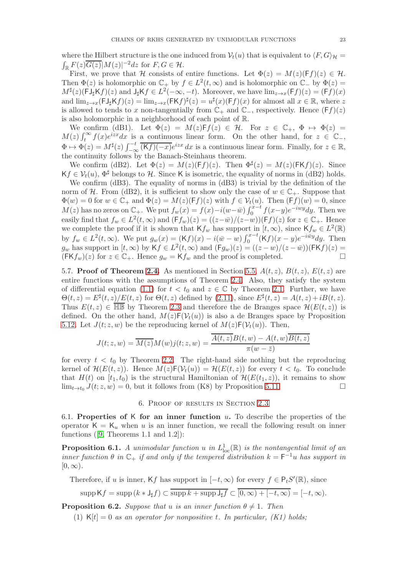where the Hilbert structure is the one induced from  $V_t(u)$  that is equivalent to  $\langle F, G \rangle_{\mathcal{H}} =$  $\mathbb{E}_{{\mathbb{R}}}\frac{F(z)\overline{G(z)}|M(z)|^{-2}dz}$  for  $F,G\in\mathcal{H}$ .

First, we prove that H consists of entire functions. Let  $\Phi(z) = M(z)(Ff)(z) \in \mathcal{H}$ . Then  $\Phi(z)$  is holomorphic on  $\mathbb{C}_+$  by  $f \in L^2(t,\infty)$  and is holomorphic on  $\mathbb{C}_-$  by  $\Phi(z)$  =  $M^{\sharp}(z)(\text{FJ}_{\sharp}\text{K}f)(z)$  and  $J_{\sharp}\text{K}f \in L^{2}(-\infty, -t)$ . Moreover, we have  $\lim_{z \to x} (\text{F}f)(z) = (\text{F}f)(x)$ and  $\lim_{z\to x}$ (FJ<sub>‡</sub>Kf)(z) =  $\lim_{z\to x}$ (FKf)<sup>‡</sup>(z) =  $u^{\sharp}(x)$ (Ff)(x) for almost all  $x \in \mathbb{R}$ , where z is allowed to tends to x non-tangentially from  $\mathbb{C}_+$  and  $\mathbb{C}_-$ , respectively. Hence  $(Ff)(z)$ is also holomorphic in a neighborhood of each point of R.

We confirm (dB1). Let  $\Phi(z) = M(z)Ff(z) \in \mathcal{H}$ . For  $z \in \mathbb{C}_+$ ,  $\Phi \mapsto \Phi(z) =$  $M(z)\int_t^{\infty} f(x)e^{izx}dx$  is a continuous linear form. On the other hand, for  $z \in \mathbb{C}_{-}$ ,  $\Phi \mapsto \Phi(z) = M^{\sharp}(z) \int_{-\infty}^{-t} \overline{(Kf)(-x)} e^{izx} dx$  is a continuous linear form. Finally, for  $z \in \mathbb{R}$ , the continuity follows by the Banach-Steinhaus theorem.

We confirm (dB2). Let  $\Phi(z) = M(z)(Ff)(z)$ . Then  $\Phi^{\sharp}(z) = M(z)(FKf)(z)$ . Since  $Kf \in \mathcal{V}_t(u)$ ,  $\Phi^{\sharp}$  belongs to H. Since K is isometric, the equality of norms in (dB2) holds.

We confirm (dB3). The equality of norms in (dB3) is trivial by the definition of the norm of H. From (dB2), it is sufficient to show only the case of  $w \in \mathbb{C}_+$ . Suppose that  $\Phi(w) = 0$  for  $w \in \mathbb{C}_+$  and  $\Phi(z) = M(z)(\mathsf{F}f)(z)$  with  $f \in \mathcal{V}_t(u)$ . Then  $(\mathsf{F}f)(w) = 0$ , since  $M(z)$  has no zeros on  $\mathbb{C}_+$ . We put  $f_w(x) = f(x) - i(w - \bar{w}) \int_0^{x-t} f(x-y) e^{-iwy} dy$ . Then we easily find that  $f_w \in L^2(t,\infty)$  and  $(\mathsf{F} f_w)(z) = ((z-\bar{w})/(z-w))(\mathsf{F} f)(z)$  for  $z \in \mathbb{C}_+$ . Hence we complete the proof if it is shown that  $\mathsf{K} f_w$  has support in  $[t, \infty)$ , since  $\mathsf{K} f_w \in L^2(\mathbb{R})$ by  $f_w \in L^2(t,\infty)$ . We put  $g_w(x) = (Kf)(x) - i(\bar{w} - w) \int_0^{x-t} (Kf)(x-y) e^{-i\bar{w}y} dy$ . Then  $g_w$  has support in  $[t,\infty)$  by  $Kf \in L^2(t,\infty)$  and  $(Fg_w)(z) = ((z-w)/(z-\bar{w}))$  $(FKf)(z) =$  $(FKf_w)(z)$  for  $z \in \mathbb{C}_+$ . Hence  $g_w = Kf_w$  and the proof is completed.

5.7. Proof of Theorem [2.4.](#page-6-1) As mentioned in Section [5.5,](#page-21-0)  $A(t, z)$ ,  $B(t, z)$ ,  $E(t, z)$  are entire functions with the assumptions of Theorem [2.4.](#page-6-1) Also, they satisfy the system of differential equation [\(1.1\)](#page-0-0) for  $t < t_0$  and  $z \in \mathbb{C}$  by Theorem [2.1.](#page-3-0) Further, we have  $\Theta(t,z) = E^{\sharp}(t,z)/E(t,z)$  for  $\Theta(t,z)$  defined by [\(2.11\)](#page-5-4), since  $E^{\sharp}(t,z) = A(t,z) + iB(t,z)$ . Thus  $E(t, z) \in \overline{\mathbb{HB}}$  by Theorem [2.3](#page-5-1) and therefore the de Branges space  $\mathcal{H}(E(t, z))$  is defined. On the other hand,  $M(z)F(V_t(u))$  is also a de Branges space by Proposition [5.12.](#page-21-1) Let  $J(t; z, w)$  be the reproducing kernel of  $M(z)F(V_t(u))$ . Then,

$$
J(t; z, w) = \overline{M(z)}M(w)j(t; z, w) = \frac{\overline{A(t, z)}B(t, w) - A(t, w)\overline{B(t, z)}}{\pi(w - \overline{z})}
$$

for every  $t < t_0$  by Theorem [2.2.](#page-5-0) The right-hand side nothing but the reproducing kernel of  $\mathcal{H}(E(t, z))$ . Hence  $M(z)\mathsf{F}(\mathcal{V}_t(u)) = \mathcal{H}(E(t, z))$  for every  $t < t_0$ . To conclude that  $H(t)$  on  $[t_1, t_0)$  is the structural Hamiltonian of  $\mathcal{H}(E(t_1, z))$ , it remains to show<br> $\lim_{t \to t} I(t; z, w) = 0$  but it follows from (K8) by Proposition 5.11  $\lim_{t\to t_0} J(t; z, w) = 0$ , but it follows from (K8) by Proposition [5.11.](#page-20-0)

## 6. Proof of results in Section [2.3](#page-6-4)

<span id="page-22-2"></span><span id="page-22-0"></span>6.1. Properties of K for an inner function  $u$ . To describe the properties of the operator  $K = K_u$  when u is an inner function, we recall the following result on inner functions $([9, Theorems 1.1 and 1.2])$  $([9, Theorems 1.1 and 1.2])$  $([9, Theorems 1.1 and 1.2])$ :

<span id="page-22-3"></span>**Proposition 6.1.** A unimodular function u in  $L^1_{loc}(\mathbb{R})$  is the nontangential limit of an inner function  $\theta$  in  $\mathbb{C}_+$  if and only if the tempered distribution  $k = \mathsf{F}^{-1}u$  has support in  $[0,\infty)$ .

Therefore, if u is inner, Kf has support in  $[-t, \infty)$  for every  $f \in P_tS'(\mathbb{R})$ , since

$$
\operatorname{supp} \mathsf{K} f = \operatorname{supp} \left( k * \mathsf{J}_{\sharp} f \right) \subset \overline{\operatorname{supp} k + \operatorname{supp} \mathsf{J}_{\sharp} f} \subset \overline{[0, \infty) + [-t, \infty)} = [-t, \infty).
$$

<span id="page-22-1"></span>**Proposition 6.2.** Suppose that u is an inner function  $\theta \neq 1$ . Then

(1)  $K[t] = 0$  as an operator for nonpositive t. In particular,  $(K1)$  holds;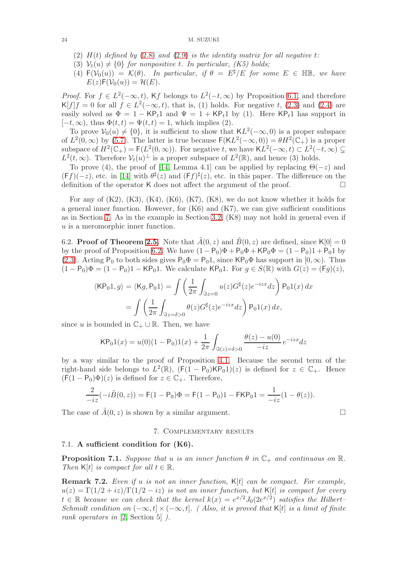- (2)  $H(t)$  defined by [\(2.8\)](#page-4-0) and [\(2.9\)](#page-4-1) is the identity matrix for all negative t:
- (3)  $\mathcal{V}_t(u) \neq \{0\}$  for nonpositive t. In particular, (K5) holds;
- (4)  $F(V_0(u)) = \mathcal{K}(\theta)$ . In particular, if  $\theta = E^{\sharp}/E$  for some  $E \in \mathbb{HB}$ , we have  $E(z)\mathsf{F}(\mathcal{V}_0(u)) = \mathcal{H}(E).$

*Proof.* For  $f \in L^2(-\infty, t)$ , Kf belongs to  $L^2(-t, \infty)$  by Proposition [6.1,](#page-22-3) and therefore  $\mathsf{K}[f]f = 0$  for all  $f \in L^2(-\infty, t)$ , that is, (1) holds. For negative t, [\(2.3\)](#page-3-1) and [\(2.4\)](#page-3-2) are easily solved as  $\Phi = 1 - \mathsf{KP}_t 1$  and  $\Psi = 1 + \mathsf{KP}_t 1$  by (1). Here  $\mathsf{KP}_t 1$  has support in  $[-t,\infty)$ , thus  $\Phi(t,t) = \Psi(t,t) = 1$ , which implies (2).

To prove  $V_0(u) \neq \{0\}$ , it is sufficient to show that  $KL^2(-\infty, 0)$  is a proper subspace of  $L^2(0,\infty)$  by [\(5.7\)](#page-15-4). The latter is true because  $F(KL^2(-\infty,0)) = \theta H^2(\mathbb{C}_+)$  is a proper subspace of  $H^2(\mathbb{C}_+) = \mathsf{F}(L^2(0,\infty))$ . For negative t, we have  $KL^2(-\infty,t) \subset L^2(-t,\infty) \subsetneq$  $L^2(t, \infty)$ . Therefore  $\mathcal{V}_t(u)$ <sup>⊥</sup> is a proper subspace of  $L^2(\mathbb{R})$ , and hence (3) holds.

To prove (4), the proof of [\[14,](#page-25-1) Lemma 4.1] can be applied by replacing  $\Theta(-z)$  and  $(Ff)(-z)$ , etc. in [\[14\]](#page-25-1) with  $\theta^{\sharp}(z)$  and  $(Ff)^{\sharp}(z)$ , etc. in this paper. The difference on the definition of the operator K does not affect the argument of the proof.  $\Box$ 

For any of  $(K2)$ ,  $(K3)$ ,  $(K4)$ ,  $(K6)$ ,  $(K7)$ ,  $(K8)$ , we do not know whether it holds for a general inner function. However, for  $(K6)$  and  $(K7)$ , we can give sufficient conditions as in Section [7.](#page-23-0) As in the example in Section [3.2,](#page-7-1) (K8) may not hold in general even if u is a meromorphic inner function.

6.2. **Proof of Theorem [2.5.](#page-6-2)** Note that  $\tilde{A}(0, z)$  and  $\tilde{B}(0, z)$  are defined, since  $\mathsf{K}[0] = 0$ by the proof of Proposition [6.2.](#page-22-1) We have  $(1 - P_0)\Phi + P_0\Phi + KP_0\Phi = (1 - P_0)1 + P_01$  by [\(2.3\)](#page-3-1). Acting P<sub>0</sub> to both sides gives  $P_0\Phi = P_01$ , since  $KP_0\Phi$  has support in  $[0,\infty)$ . Thus  $(1 - P_0)\Phi = (1 - P_0)1 - KP_01$ . We calculate KP<sub>0</sub>1. For  $g \in S(\mathbb{R})$  with  $G(z) = (Fg)(z)$ ,

$$
\langle \mathsf{KP}_0 1, g \rangle = \langle \mathsf{K} g, \mathsf{P}_0 1 \rangle = \int \left( \frac{1}{2\pi} \int_{\Im z = 0} u(z) G^{\sharp}(z) e^{-izx} dz \right) \mathsf{P}_0 1(x) dx
$$

$$
= \int \left( \frac{1}{2\pi} \int_{\Im z = \delta > 0} \theta(z) G^{\sharp}(z) e^{-izx} dz \right) \mathsf{P}_0 1(x) dx,
$$

since u is bounded in  $\mathbb{C}_+ \cup \mathbb{R}$ . Then, we have

$$
\mathsf{KP}_0 1(x) = u(0)(1 - \mathsf{P}_0) 1(x) + \frac{1}{2\pi} \int_{\Im(z) = \delta > 0} \frac{\theta(z) - u(0)}{-iz} e^{-izx} dz
$$

by a way similar to the proof of Proposition [4.1.](#page-9-1) Because the second term of the right-hand side belongs to  $L^2(\mathbb{R})$ ,  $(F(1 - P_0)KP_01)(z)$  is defined for  $z \in \mathbb{C}_+$ . Hence  $(F(1 - P_0)\Phi)(z)$  is defined for  $z \in \mathbb{C}_+$ . Therefore,

$$
\frac{2}{-iz}(-i\tilde{B}(0,z)) = F(1-P_0)\Phi = F(1-P_0)1 - FKP_01 = \frac{1}{-iz}(1-\theta(z)).
$$

<span id="page-23-0"></span>The case of  $\tilde{A}(0, z)$  is shown by a similar argument.

## 7. Complementary results

### 7.1. A sufficient condition for (K6).

**Proposition 7.1.** Suppose that u is an inner function  $\theta$  in  $\mathbb{C}_+$  and continuous on  $\mathbb{R}$ . Then K[t] is compact for all  $t \in \mathbb{R}$ .

**Remark 7.2.** Even if u is not an inner function,  $K[t]$  can be compact. For example,  $u(z) = \Gamma(1/2 + iz)/\Gamma(1/2 - iz)$  is not an inner function, but K[t] is compact for every  $t \in \mathbb{R}$  because we can check that the kernel  $k(x) = e^{x/2} J_0(2e^{x/2})$  satisfies the Hilbert-Schmidt condition on  $(-\infty, t] \times (-\infty, t]$ . (Also, it is proved that K[t] is a limit of finite rank operators in [\[2,](#page-25-14) Section 5] ).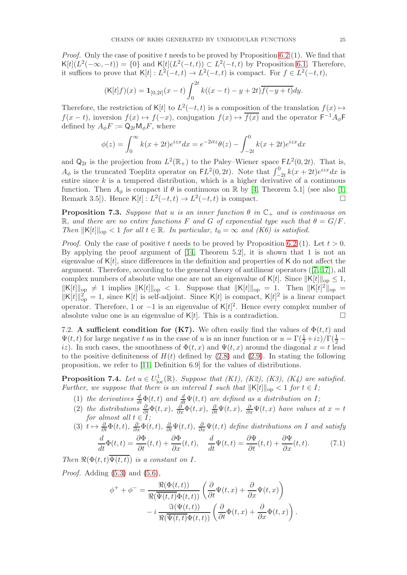*Proof.* Only the case of positive t needs to be proved by Proposition [6.2](#page-22-1) (1). We find that  $K[t](L^2(-\infty, -t)) = \{0\}$  and  $K[t](L^2(-t,t)) \subset L^2(-t,t)$  by Proposition [6.1.](#page-22-3) Therefore, it suffices to prove that  $\mathsf{K}[t]: L^2(-t,t) \to L^2(-t,t)$  is compact. For  $f \in L^2(-t,t)$ ,

$$
(\mathsf{K}[t]f)(x) = \mathbf{1}_{[0,2t]}(x-t) \int_0^{2t} k((x-t)-y+2t)\overline{f(-y+t)}dy.
$$

Therefore, the restriction of K[t] to  $L^2(-t,t)$  is a composition of the translation  $f(x) \mapsto$  $f(x-t)$ , inversion  $f(x) \mapsto f(-x)$ , conjugation  $f(x) \mapsto \overline{f(x)}$  and the operator  $F^{-1}A_{\phi}F$ defined by  $A_{\phi}F := Q_{2t}M_{\phi}F$ , where

$$
\phi(z) = \int_0^\infty k(x + 2t)e^{izx} dx = e^{-2itz}\theta(z) - \int_{-2t}^0 k(x + 2t)e^{izx} dx
$$

and  $\mathsf{Q}_{2t}$  is the projection from  $L^2(\mathbb{R}_+)$  to the Paley–Wiener space  $FL^2(0, 2t)$ . That is,  $A_{\phi}$  is the truncated Toeplitz operator on  $FL^2(0, 2t)$ . Note that  $\int_{-2t}^{0} k(x + 2t)e^{izx} dx$  is entire since  $k$  is a tempered distribution, which is a higher derivative of a continuous function. Then  $A_{\phi}$  is compact if  $\theta$  is continuous on R by [\[4,](#page-25-7) Theorem 5.1] (see also [\[1,](#page-25-16) Remark 3.5]). Hence  $\mathsf{K}[t]: L^2(-t,t) \to L^2(-t,t)$  is compact.

**Proposition 7.3.** Suppose that u is an inner function  $\theta$  in  $\mathbb{C}_+$  and is continuous on R, and there are no entire functions F and G of exponential type such that  $\theta = G/F$ . Then  $\|K[t]\|_{\text{op}} < 1$  for all  $t \in \mathbb{R}$ . In particular,  $t_0 = \infty$  and  $(K6)$  is satisfied.

*Proof.* Only the case of positive t needs to be proved by Proposition [6.2](#page-22-1) (1). Let  $t > 0$ . By applying the proof argument of [\[14,](#page-25-1) Theorem 5.2], it is shown that 1 is not an eigenvalue of  $K[t]$ , since differences in the definition and properties of K do not affect the argument. Therefore, according to the general theory of antilinear operators([\[7,](#page-25-9) [17\]](#page-25-10)), all complex numbers of absolute value one are not an eigenvalue of K[t]. Since  $||K[t]||_{op} \leq 1$ ,  $\|K[t]\|_{\text{op}} \neq 1$  implies  $\|K[t]\|_{\text{op}} < 1$ . Suppose that  $\|K[t]\|_{\text{op}} = 1$ . Then  $\|K[t]^2\|_{\text{op}} =$  $\|K[t]\|_{op}^2 = 1$ , since  $K[t]$  is self-adjoint. Since  $K[t]$  is compact,  $K[t]^2$  is a linear compact operator. Therefore, 1 or  $-1$  is an eigenvalue of K[t]<sup>2</sup>. Hence every complex number of absolute value one is an eigenvalue of  $K[t]$ . This is a contradiction.

7.2. A sufficient condition for (K7). We often easily find the values of  $\Phi(t, t)$  and  $\Psi(t, t)$  for large negative t as in the case of u is an inner function or  $u = \Gamma(\frac{1}{2} + iz)/\Gamma(\frac{1}{2} - iz)$ iz). In such cases, the smoothness of  $\Phi(t, x)$  and  $\Psi(t, x)$  around the diagonal  $x = t$  lead to the positive definiteness of  $H(t)$  defined by [\(2.8\)](#page-4-0) and [\(2.9\)](#page-4-1). In stating the following proposition, we refer to [\[11,](#page-25-17) Definition 6.9] for the values of distributions.

<span id="page-24-0"></span>**Proposition 7.4.** Let  $u \in U^1_{loc}(\mathbb{R})$ . Suppose that  $(K1)$ ,  $(K2)$ ,  $(K3)$ ,  $(K4)$  are satisfied. Further, we suppose that there is an interval I such that  $||K[t]||_{op} < 1$  for  $t \in I$ ;

- (1) the derivatives  $\frac{d}{dt}\Phi(t,t)$  and  $\frac{d}{dt}\Psi(t,t)$  are defined as a distribution on I;
- (2) the distributions  $\frac{\partial}{\partial t}\Phi(t,x)$ ,  $\frac{\partial}{\partial x}\Phi(t,x)$ ,  $\frac{\partial}{\partial t}\Psi(t,x)$ ,  $\frac{\partial}{\partial x}\Psi(t,x)$  have values at  $x=t$ for almost all  $t \in I$ ;
- (3)  $t \mapsto \frac{\partial}{\partial t} \Phi(t, t)$ ,  $\frac{\partial}{\partial x} \Phi(t, t)$ ,  $\frac{\partial}{\partial t} \Psi(t, t)$ ,  $\frac{\partial}{\partial x} \Psi(t, t)$  define distributions on I and satisfy

<span id="page-24-1"></span>
$$
\frac{d}{dt}\Phi(t,t) = \frac{\partial \Phi}{\partial t}(t,t) + \frac{\partial \Phi}{\partial x}(t,t), \quad \frac{d}{dt}\Psi(t,t) = \frac{\partial \Psi}{\partial t}(t,t) + \frac{\partial \Psi}{\partial x}(t,t).
$$
(7.1)

Then  $\Re(\Phi(t,t)\Psi(t,t))$  is a constant on I.

*Proof.* Adding  $(5.3)$  and  $(5.6)$ ,

$$
\phi^+ + \phi^- = \frac{\Re(\Phi(t,t))}{\Re(\overline{\Psi(t,t)}\Phi(t,t))} \left( \frac{\partial}{\partial t} \Psi(t,x) + \frac{\partial}{\partial x} \Psi(t,x) \right) - i \frac{\Im(\Psi(t,t))}{\Re(\overline{\Psi(t,t)}\Phi(t,t))} \left( \frac{\partial}{\partial t} \Phi(t,x) + \frac{\partial}{\partial x} \Phi(t,x) \right).
$$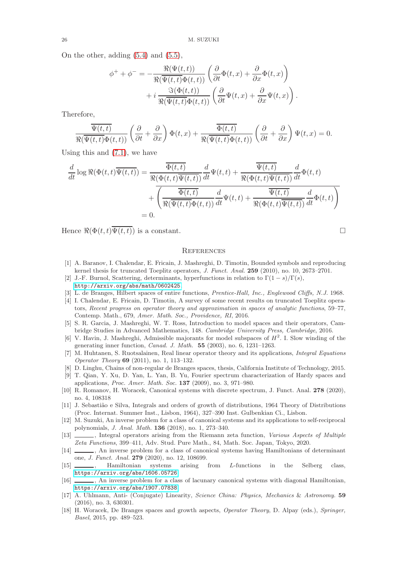On the other, adding [\(5.4\)](#page-14-3) and [\(5.5\)](#page-14-2),

$$
\phi^+ + \phi^- = -\frac{\Re(\Psi(t,t))}{\Re(\overline{\Psi(t,t)}\Phi(t,t))} \left( \frac{\partial}{\partial t} \Phi(t,x) + \frac{\partial}{\partial x} \Phi(t,x) \right) + i \frac{\Im(\Phi(t,t))}{\Re(\overline{\Psi(t,t)}\Phi(t,t))} \left( \frac{\partial}{\partial t} \Psi(t,x) + \frac{\partial}{\partial x} \Psi(t,x) \right).
$$

Therefore,

$$
\frac{\overline{\Psi(t,t)}}{\Re(\overline{\Psi(t,t)}\Phi(t,t))}\left(\frac{\partial}{\partial t}+\frac{\partial}{\partial x}\right)\Phi(t,x)+\frac{\overline{\Phi(t,t)}}{\Re(\overline{\Psi(t,t)}\Phi(t,t))}\left(\frac{\partial}{\partial t}+\frac{\partial}{\partial x}\right)\Psi(t,x)=0.
$$

Using this and  $(7.1)$ , we have

$$
\frac{d}{dt} \log \Re(\Phi(t,t)\overline{\Psi(t,t)}) = \frac{\overline{\Phi(t,t)}}{\Re(\Phi(t,t)\overline{\Psi(t,t)})} \frac{d}{dt} \Psi(t,t) + \frac{\overline{\Psi(t,t)}}{\Re(\Phi(t,t)\overline{\Psi(t,t)})} \frac{d}{dt} \Phi(t,t) \n+ \overline{\left(\frac{\overline{\Phi(t,t)}}{\Re(\overline{\Psi(t,t)}\Phi(t,t))} \frac{d}{dt} \Psi(t,t) + \frac{\overline{\Psi(t,t)}}{\Re(\Phi(t,t)\overline{\Psi(t,t)})} \frac{d}{dt} \Phi(t,t)\right)} \n= 0.
$$

Hence  $\Re(\Phi(t,t)\overline{\Psi(t,t)})$  is a constant.

$$
\Box
$$

# **REFERENCES**

- <span id="page-25-16"></span>[1] A. Baranov, I. Chalendar, E. Fricain, J. Mashreghi, D. Timotin, Bounded symbols and reproducing kernel thesis for truncated Toeplitz operators, J. Funct. Anal. 259 (2010), no. 10, 2673–2701.
- <span id="page-25-14"></span>[2] J.-F. Burnol, Scattering, determinants, hyperfunctions in relation to  $\Gamma(1-s)/\Gamma(s)$ , <http://arxiv.org/abs/math/0602425>.
- <span id="page-25-11"></span><span id="page-25-7"></span>[3] L. de Branges, Hilbert spaces of entire functions, Prentice-Hall, Inc., Englewood Cliffs, N.J. 1968.
- [4] I. Chalendar, E. Fricain, D. Timotin, A survey of some recent results on truncated Toeplitz operators, Recent progress on operator theory and approximation in spaces of analytic functions, 59–77, Contemp. Math., 679, Amer. Math. Soc., Providence, RI, 2016.
- <span id="page-25-6"></span>[5] S. R. Garcia, J. Mashreghi, W. T. Ross, Introduction to model spaces and their operators, Cambridge Studies in Advanced Mathematics, 148. Cambridge University Press, Cambridge, 2016.
- <span id="page-25-8"></span>[6] V. Havin, J. Mashreghi, Admissible majorants for model subspaces of  $H^2$ . I. Slow winding of the generating inner function, Canad. J. Math. 55 (2003), no. 6, 1231–1263.
- <span id="page-25-9"></span>[7] M. Huhtanen, S. Ruotsalainen, Real linear operator theory and its applications, Integral Equations Operator Theory 69 (2011), no. 1, 113–132.
- <span id="page-25-15"></span><span id="page-25-12"></span>[8] D. Linghu, Chains of non-regular de Branges spaces, thesis, California Institute of Technology, 2015.
- [9] T. Qian, Y. Xu, D. Yan, L. Yan, B. Yu, Fourier spectrum characterization of Hardy spaces and applications, Proc. Amer. Math. Soc. 137 (2009), no. 3, 971–980.
- <span id="page-25-5"></span>[10] R. Romanov, H. Woracek, Canonical systems with discrete spectrum, J. Funct. Anal. 278 (2020), no. 4, 108318
- <span id="page-25-17"></span>[11] J. Sebastião e Silva, Integrals and orders of growth of distributions, 1964 Theory of Distributions (Proc. Internat. Summer Inst., Lisbon, 1964), 327–390 Inst. Gulbenkian Ci., Lisbon.
- <span id="page-25-13"></span>[12] M. Suzuki, An inverse problem for a class of canonical systems and its applications to self-reciprocal polynomials, J. Anal. Math. 136 (2018), no. 1, 273–340.
- <span id="page-25-0"></span>[13]  $\qquad \qquad$ , Integral operators arising from the Riemann zeta function, *Various Aspects of Multiple* Zeta Functions, 399–411, Adv. Stud. Pure Math., 84, Math. Soc. Japan, Tokyo, 2020.
- <span id="page-25-1"></span>[14]  $\_\_\_\_\$  An inverse problem for a class of canonical systems having Hamiltonians of determinant one, J. Funct. Anal. 279 (2020), no. 12, 108699.
- <span id="page-25-3"></span>[15]  $\qquad \qquad$ , Hamiltonian systems arising from *L*-functions in the Selberg class, <https://arxiv.org/abs/1606.05726>
- <span id="page-25-2"></span>[16]  $\Box$ , An inverse problem for a class of lacunary canonical systems with diagonal Hamiltonian, <https://arxiv.org/abs/1907.07838>
- <span id="page-25-10"></span>[17] A. Uhlmann, Anti- (Conjugate) Linearity, Science China: Physics, Mechanics & Astronomy. 59 (2016), no. 3, 630301.
- <span id="page-25-4"></span>[18] H. Woracek, De Branges spaces and growth aspects, Operator Theory, D. Alpay (eds.), Springer, Basel, 2015, pp. 489–523.